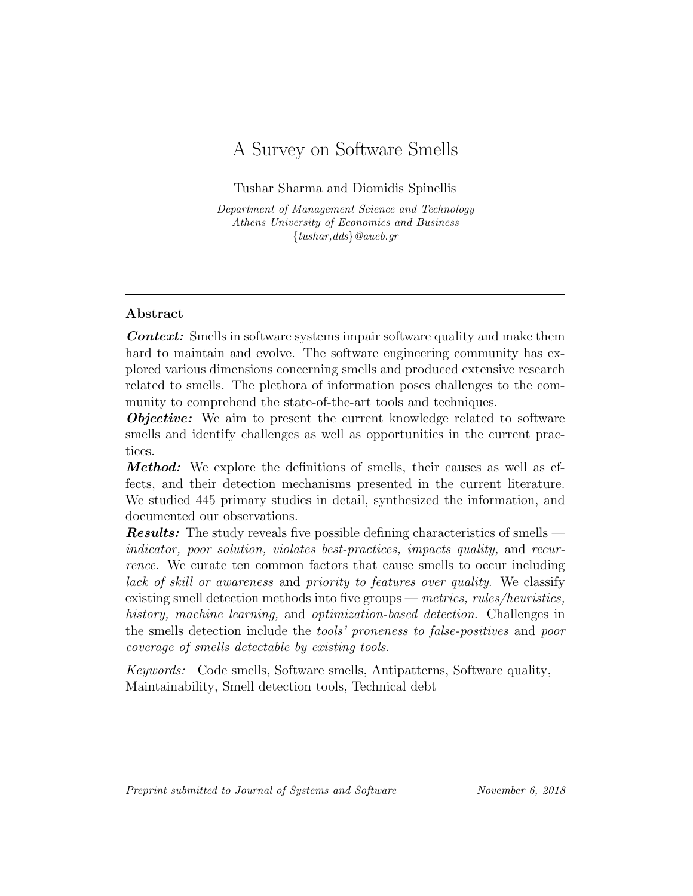# A Survey on Software Smells

Tushar Sharma and Diomidis Spinellis

Department of Management Science and Technology Athens University of Economics and Business {tushar,dds}@aueb.gr

# Abstract

**Context:** Smells in software systems impair software quality and make them hard to maintain and evolve. The software engineering community has explored various dimensions concerning smells and produced extensive research related to smells. The plethora of information poses challenges to the community to comprehend the state-of-the-art tools and techniques.

**Objective:** We aim to present the current knowledge related to software smells and identify challenges as well as opportunities in the current practices.

Method: We explore the definitions of smells, their causes as well as effects, and their detection mechanisms presented in the current literature. We studied 445 primary studies in detail, synthesized the information, and documented our observations.

**Results:** The study reveals five possible defining characteristics of smells indicator, poor solution, violates best-practices, impacts quality, and recurrence. We curate ten common factors that cause smells to occur including lack of skill or awareness and priority to features over quality. We classify existing smell detection methods into five groups — metrics, rules/heuristics, history, machine learning, and optimization-based detection. Challenges in the smells detection include the tools' proneness to false-positives and poor coverage of smells detectable by existing tools.

Keywords: Code smells, Software smells, Antipatterns, Software quality, Maintainability, Smell detection tools, Technical debt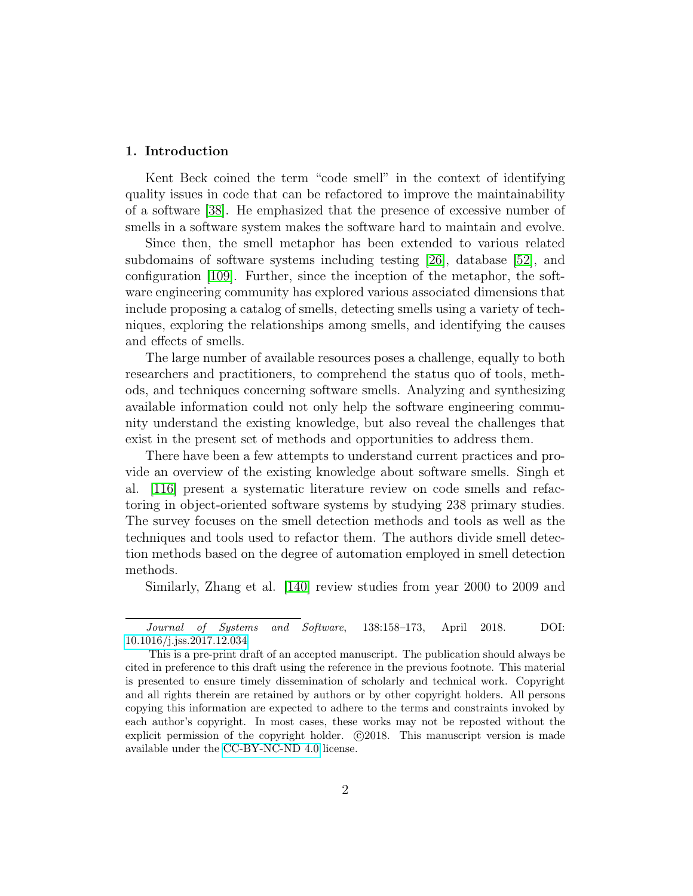## 1. Introduction

Kent Beck coined the term "code smell" in the context of identifying quality issues in code that can be refactored to improve the maintainability of a software [\[38\]](#page-38-0). He emphasized that the presence of excessive number of smells in a software system makes the software hard to maintain and evolve.

Since then, the smell metaphor has been extended to various related subdomains of software systems including testing [\[26\]](#page-37-0), database [\[52\]](#page-40-0), and configuration [\[109\]](#page-46-0). Further, since the inception of the metaphor, the software engineering community has explored various associated dimensions that include proposing a catalog of smells, detecting smells using a variety of techniques, exploring the relationships among smells, and identifying the causes and effects of smells.

The large number of available resources poses a challenge, equally to both researchers and practitioners, to comprehend the status quo of tools, methods, and techniques concerning software smells. Analyzing and synthesizing available information could not only help the software engineering community understand the existing knowledge, but also reveal the challenges that exist in the present set of methods and opportunities to address them.

There have been a few attempts to understand current practices and provide an overview of the existing knowledge about software smells. Singh et al. [\[116\]](#page-47-0) present a systematic literature review on code smells and refactoring in object-oriented software systems by studying 238 primary studies. The survey focuses on the smell detection methods and tools as well as the techniques and tools used to refactor them. The authors divide smell detection methods based on the degree of automation employed in smell detection methods.

Similarly, Zhang et al. [\[140\]](#page-50-0) review studies from year 2000 to 2009 and

Journal of Systems and Software, 138:158–173, April 2018. DOI: [10.1016/j.jss.2017.12.034](https://doi.org/10.1016/j.jss.2017.12.034)

This is a pre-print draft of an accepted manuscript. The publication should always be cited in preference to this draft using the reference in the previous footnote. This material is presented to ensure timely dissemination of scholarly and technical work. Copyright and all rights therein are retained by authors or by other copyright holders. All persons copying this information are expected to adhere to the terms and constraints invoked by each author's copyright. In most cases, these works may not be reposted without the explicit permission of the copyright holder.  $\odot$ 2018. This manuscript version is made available under the [CC-BY-NC-ND 4.0](http://creativecommons.org/licenses/by-nc-nd/4.0/) license.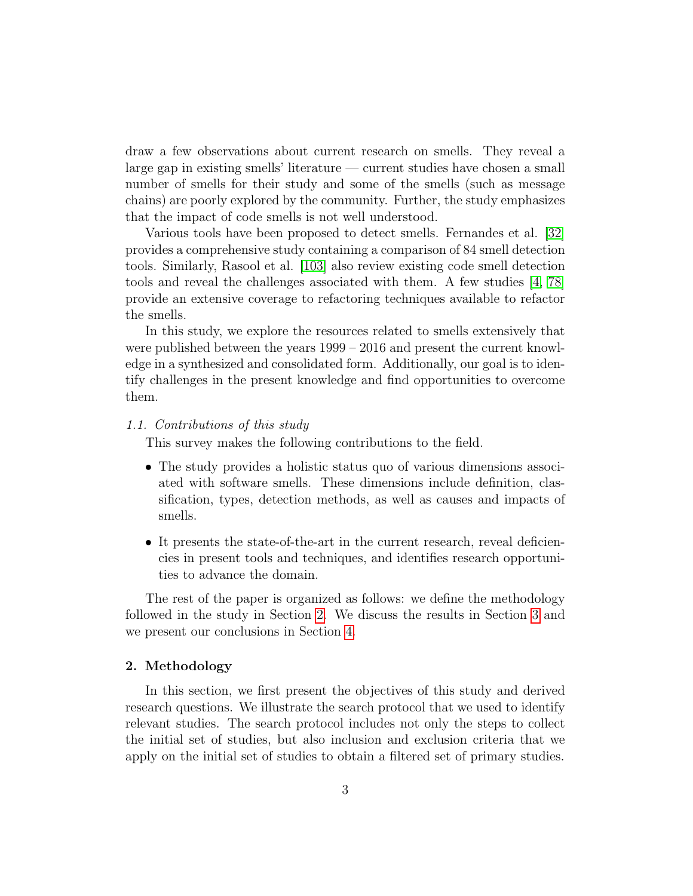draw a few observations about current research on smells. They reveal a large gap in existing smells' literature — current studies have chosen a small number of smells for their study and some of the smells (such as message chains) are poorly explored by the community. Further, the study emphasizes that the impact of code smells is not well understood.

Various tools have been proposed to detect smells. Fernandes et al. [\[32\]](#page-37-1) provides a comprehensive study containing a comparison of 84 smell detection tools. Similarly, Rasool et al. [\[103\]](#page-46-1) also review existing code smell detection tools and reveal the challenges associated with them. A few studies [\[4,](#page-34-0) [78\]](#page-43-0) provide an extensive coverage to refactoring techniques available to refactor the smells.

In this study, we explore the resources related to smells extensively that were published between the years 1999 – 2016 and present the current knowledge in a synthesized and consolidated form. Additionally, our goal is to identify challenges in the present knowledge and find opportunities to overcome them.

### 1.1. Contributions of this study

This survey makes the following contributions to the field.

- The study provides a holistic status quo of various dimensions associated with software smells. These dimensions include definition, classification, types, detection methods, as well as causes and impacts of smells.
- It presents the state-of-the-art in the current research, reveal deficiencies in present tools and techniques, and identifies research opportunities to advance the domain.

The rest of the paper is organized as follows: we define the methodology followed in the study in Section [2.](#page-2-0) We discuss the results in Section [3](#page-6-0) and we present our conclusions in Section [4.](#page-32-0)

# <span id="page-2-0"></span>2. Methodology

In this section, we first present the objectives of this study and derived research questions. We illustrate the search protocol that we used to identify relevant studies. The search protocol includes not only the steps to collect the initial set of studies, but also inclusion and exclusion criteria that we apply on the initial set of studies to obtain a filtered set of primary studies.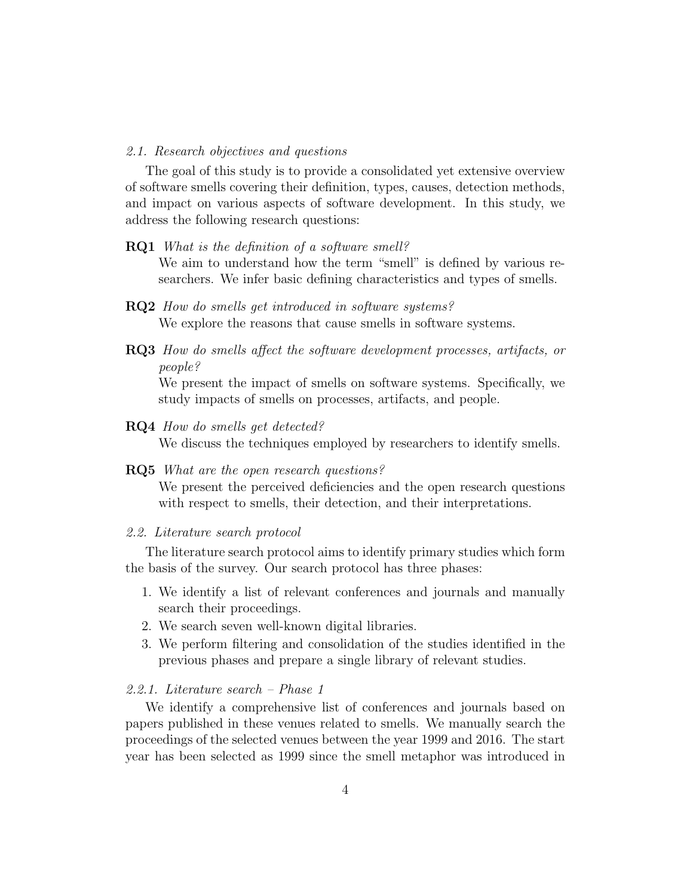#### 2.1. Research objectives and questions

The goal of this study is to provide a consolidated yet extensive overview of software smells covering their definition, types, causes, detection methods, and impact on various aspects of software development. In this study, we address the following research questions:

- RQ1 What is the definition of a software smell? We aim to understand how the term "smell" is defined by various researchers. We infer basic defining characteristics and types of smells.
- RQ2 How do smells get introduced in software systems? We explore the reasons that cause smells in software systems.
- RQ3 How do smells affect the software development processes, artifacts, or people?

We present the impact of smells on software systems. Specifically, we study impacts of smells on processes, artifacts, and people.

RQ4 How do smells get detected?

We discuss the techniques employed by researchers to identify smells.

### RQ5 What are the open research questions?

We present the perceived deficiencies and the open research questions with respect to smells, their detection, and their interpretations.

#### 2.2. Literature search protocol

The literature search protocol aims to identify primary studies which form the basis of the survey. Our search protocol has three phases:

- 1. We identify a list of relevant conferences and journals and manually search their proceedings.
- 2. We search seven well-known digital libraries.
- 3. We perform filtering and consolidation of the studies identified in the previous phases and prepare a single library of relevant studies.

### 2.2.1. Literature search – Phase 1

We identify a comprehensive list of conferences and journals based on papers published in these venues related to smells. We manually search the proceedings of the selected venues between the year 1999 and 2016. The start year has been selected as 1999 since the smell metaphor was introduced in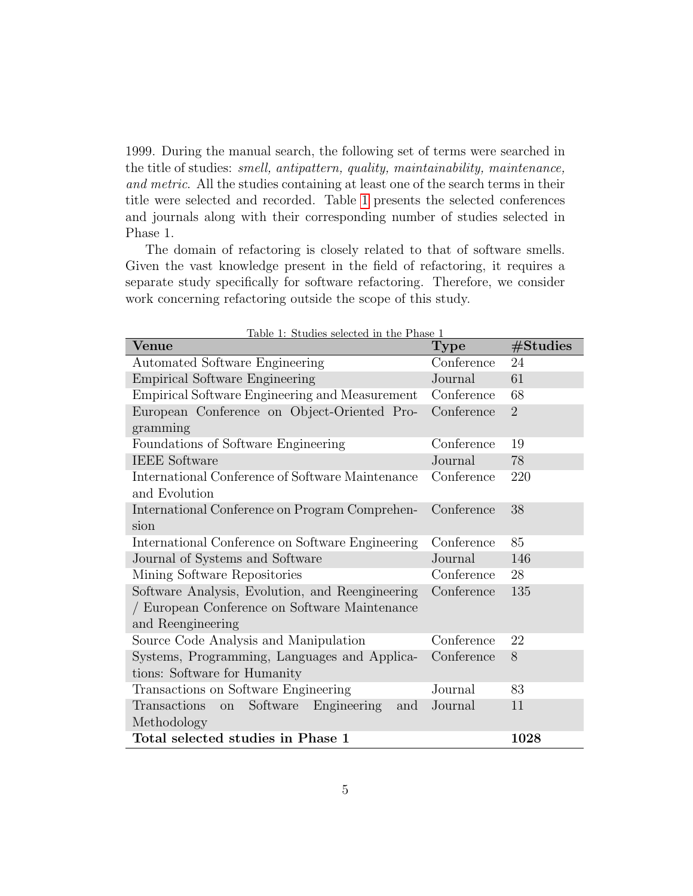1999. During the manual search, the following set of terms were searched in the title of studies: smell, antipattern, quality, maintainability, maintenance, and metric. All the studies containing at least one of the search terms in their title were selected and recorded. Table [1](#page-4-0) presents the selected conferences and journals along with their corresponding number of studies selected in Phase 1.

The domain of refactoring is closely related to that of software smells. Given the vast knowledge present in the field of refactoring, it requires a separate study specifically for software refactoring. Therefore, we consider work concerning refactoring outside the scope of this study.

<span id="page-4-0"></span>

| Table 1: Studies selected in the Phase 1         |             |                |  |  |  |
|--------------------------------------------------|-------------|----------------|--|--|--|
| Venue                                            | <b>Type</b> | #Studies       |  |  |  |
| Automated Software Engineering                   | Conference  | 24             |  |  |  |
| <b>Empirical Software Engineering</b>            | Journal     | 61             |  |  |  |
| Empirical Software Engineering and Measurement   | Conference  | 68             |  |  |  |
| European Conference on Object-Oriented Pro-      | Conference  | $\overline{2}$ |  |  |  |
| gramming                                         |             |                |  |  |  |
| Foundations of Software Engineering              | Conference  | 19             |  |  |  |
| <b>IEEE</b> Software                             | Journal     | 78             |  |  |  |
| International Conference of Software Maintenance | Conference  | 220            |  |  |  |
| and Evolution                                    |             |                |  |  |  |
| International Conference on Program Comprehen-   | Conference  | 38             |  |  |  |
| sion                                             |             |                |  |  |  |
| International Conference on Software Engineering | Conference  | 85             |  |  |  |
| Journal of Systems and Software                  | Journal     | 146            |  |  |  |
| Mining Software Repositories                     | Conference  | 28             |  |  |  |
| Software Analysis, Evolution, and Reengineering  | Conference  | 135            |  |  |  |
| / European Conference on Software Maintenance    |             |                |  |  |  |
| and Reengineering                                |             |                |  |  |  |
| Source Code Analysis and Manipulation            | Conference  | 22             |  |  |  |
| Systems, Programming, Languages and Applica-     | Conference  | 8              |  |  |  |
| tions: Software for Humanity                     |             |                |  |  |  |
| Transactions on Software Engineering             | Journal     | 83             |  |  |  |
| Transactions on<br>Software Engineering<br>and   | Journal     | 11             |  |  |  |
| Methodology                                      |             |                |  |  |  |
| Total selected studies in Phase 1                |             | 1028           |  |  |  |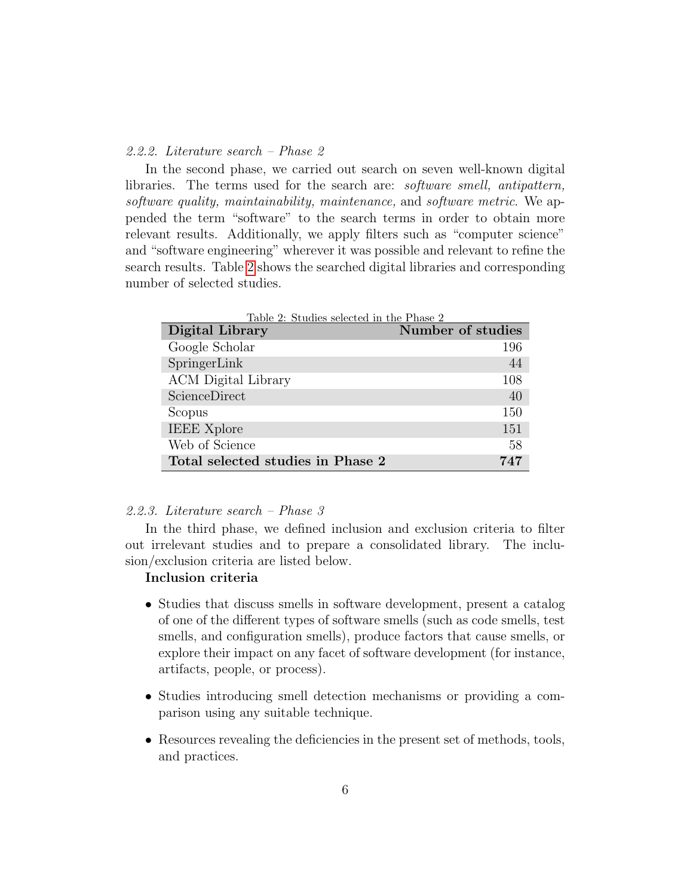### 2.2.2. Literature search – Phase 2

In the second phase, we carried out search on seven well-known digital libraries. The terms used for the search are: software smell, antipattern, software quality, maintainability, maintenance, and software metric. We appended the term "software" to the search terms in order to obtain more relevant results. Additionally, we apply filters such as "computer science" and "software engineering" wherever it was possible and relevant to refine the search results. Table [2](#page-5-0) shows the searched digital libraries and corresponding number of selected studies.

<span id="page-5-0"></span>

| Table 2: Studies selected in the Phase 2 |                   |  |  |  |  |
|------------------------------------------|-------------------|--|--|--|--|
| Digital Library                          | Number of studies |  |  |  |  |
| Google Scholar                           | 196               |  |  |  |  |
| SpringerLink                             | 44                |  |  |  |  |
| ACM Digital Library                      | 108               |  |  |  |  |
| ScienceDirect                            | 40                |  |  |  |  |
| Scopus                                   | 150               |  |  |  |  |
| <b>IEEE</b> Xplore                       | 151               |  |  |  |  |
| Web of Science                           | 58                |  |  |  |  |
| Total selected studies in Phase 2        | 747               |  |  |  |  |

# 2.2.3. Literature search – Phase 3

In the third phase, we defined inclusion and exclusion criteria to filter out irrelevant studies and to prepare a consolidated library. The inclusion/exclusion criteria are listed below.

# Inclusion criteria

- Studies that discuss smells in software development, present a catalog of one of the different types of software smells (such as code smells, test smells, and configuration smells), produce factors that cause smells, or explore their impact on any facet of software development (for instance, artifacts, people, or process).
- Studies introducing smell detection mechanisms or providing a comparison using any suitable technique.
- Resources revealing the deficiencies in the present set of methods, tools, and practices.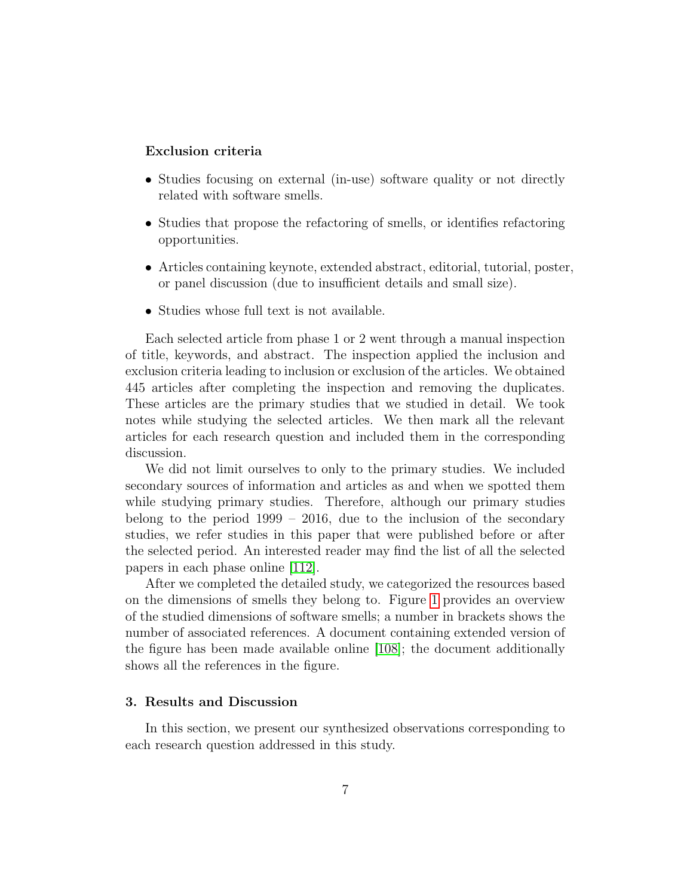### Exclusion criteria

- Studies focusing on external (in-use) software quality or not directly related with software smells.
- Studies that propose the refactoring of smells, or identifies refactoring opportunities.
- Articles containing keynote, extended abstract, editorial, tutorial, poster, or panel discussion (due to insufficient details and small size).
- Studies whose full text is not available.

Each selected article from phase 1 or 2 went through a manual inspection of title, keywords, and abstract. The inspection applied the inclusion and exclusion criteria leading to inclusion or exclusion of the articles. We obtained 445 articles after completing the inspection and removing the duplicates. These articles are the primary studies that we studied in detail. We took notes while studying the selected articles. We then mark all the relevant articles for each research question and included them in the corresponding discussion.

We did not limit ourselves to only to the primary studies. We included secondary sources of information and articles as and when we spotted them while studying primary studies. Therefore, although our primary studies belong to the period 1999 – 2016, due to the inclusion of the secondary studies, we refer studies in this paper that were published before or after the selected period. An interested reader may find the list of all the selected papers in each phase online [\[112\]](#page-47-1).

After we completed the detailed study, we categorized the resources based on the dimensions of smells they belong to. Figure [1](#page-7-0) provides an overview of the studied dimensions of software smells; a number in brackets shows the number of associated references. A document containing extended version of the figure has been made available online [\[108\]](#page-46-2); the document additionally shows all the references in the figure.

# <span id="page-6-0"></span>3. Results and Discussion

In this section, we present our synthesized observations corresponding to each research question addressed in this study.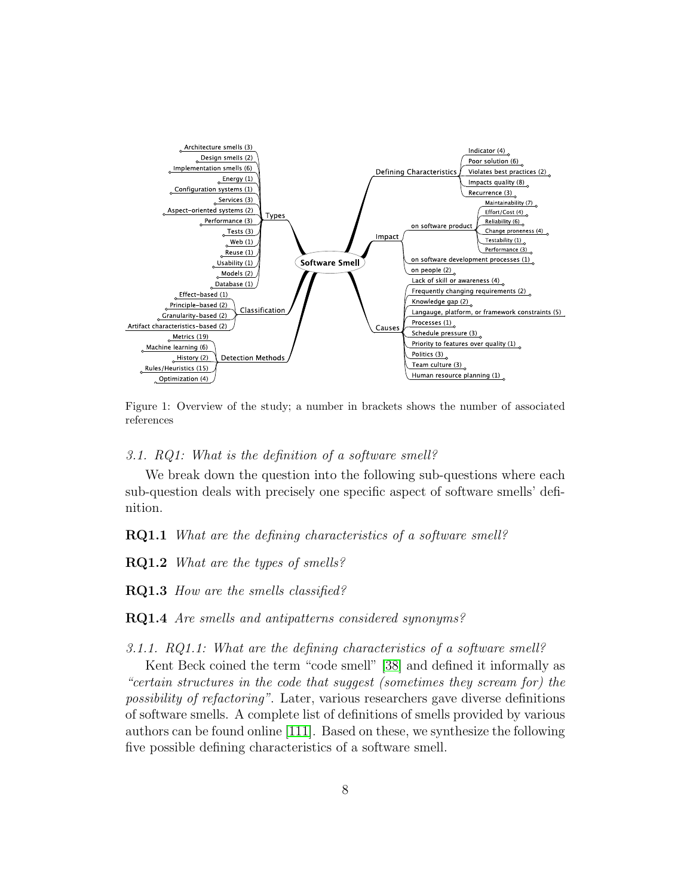

<span id="page-7-0"></span>Figure 1: Overview of the study; a number in brackets shows the number of associated references

## 3.1. RQ1: What is the definition of a software smell?

We break down the question into the following sub-questions where each sub-question deals with precisely one specific aspect of software smells' definition.

RQ1.1 What are the defining characteristics of a software smell?

RQ1.2 What are the types of smells?

RQ1.3 How are the smells classified?

RQ1.4 Are smells and antipatterns considered synonyms?

<span id="page-7-1"></span>3.1.1. RQ1.1: What are the defining characteristics of a software smell?

Kent Beck coined the term "code smell" [\[38\]](#page-38-0) and defined it informally as "certain structures in the code that suggest (sometimes they scream for) the possibility of refactoring". Later, various researchers gave diverse definitions of software smells. A complete list of definitions of smells provided by various authors can be found online [\[111\]](#page-47-2). Based on these, we synthesize the following five possible defining characteristics of a software smell.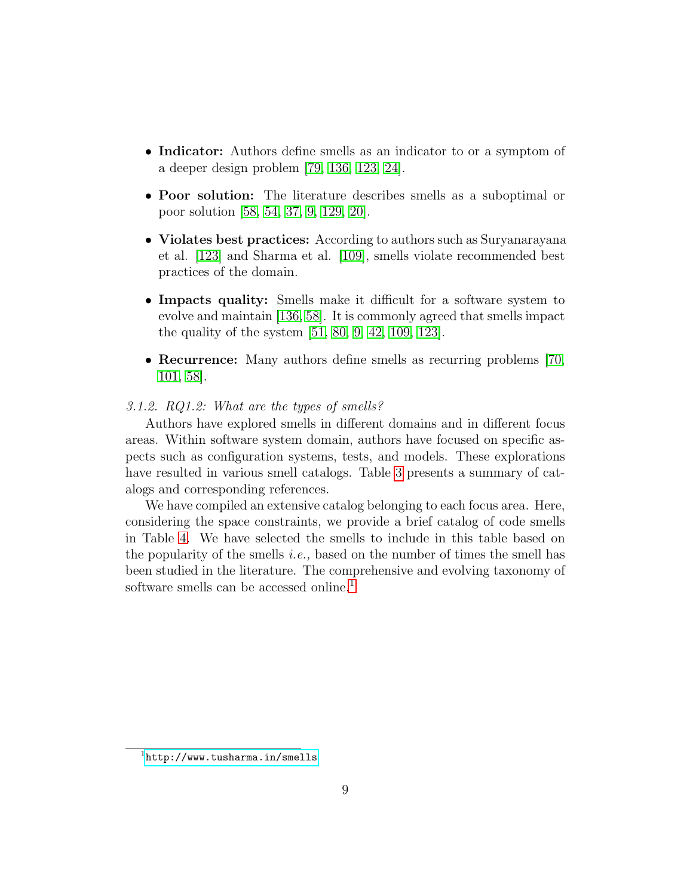- Indicator: Authors define smells as an indicator to or a symptom of a deeper design problem [\[79,](#page-43-1) [136,](#page-49-0) [123,](#page-48-0) [24\]](#page-36-0).
- Poor solution: The literature describes smells as a suboptimal or poor solution [\[58,](#page-40-1) [54,](#page-40-2) [37,](#page-38-1) [9,](#page-35-0) [129,](#page-49-1) [20\]](#page-36-1).
- Violates best practices: According to authors such as Suryanarayana et al. [\[123\]](#page-48-0) and Sharma et al. [\[109\]](#page-46-0), smells violate recommended best practices of the domain.
- Impacts quality: Smells make it difficult for a software system to evolve and maintain [\[136,](#page-49-0) [58\]](#page-40-1). It is commonly agreed that smells impact the quality of the system [\[51,](#page-40-3) [80,](#page-43-2) [9,](#page-35-0) [42,](#page-39-0) [109,](#page-46-0) [123\]](#page-48-0).
- Recurrence: Many authors define smells as recurring problems [\[70,](#page-42-0) [101,](#page-46-3) [58\]](#page-40-1).

# 3.1.2. RQ1.2: What are the types of smells?

Authors have explored smells in different domains and in different focus areas. Within software system domain, authors have focused on specific aspects such as configuration systems, tests, and models. These explorations have resulted in various smell catalogs. Table [3](#page-9-0) presents a summary of catalogs and corresponding references.

We have compiled an extensive catalog belonging to each focus area. Here, considering the space constraints, we provide a brief catalog of code smells in Table [4.](#page-9-1) We have selected the smells to include in this table based on the popularity of the smells *i.e.*, based on the number of times the smell has been studied in the literature. The comprehensive and evolving taxonomy of software smells can be accessed online.<sup>[1](#page-8-0)</sup>

<span id="page-8-0"></span> $1$ <http://www.tusharma.in/smells>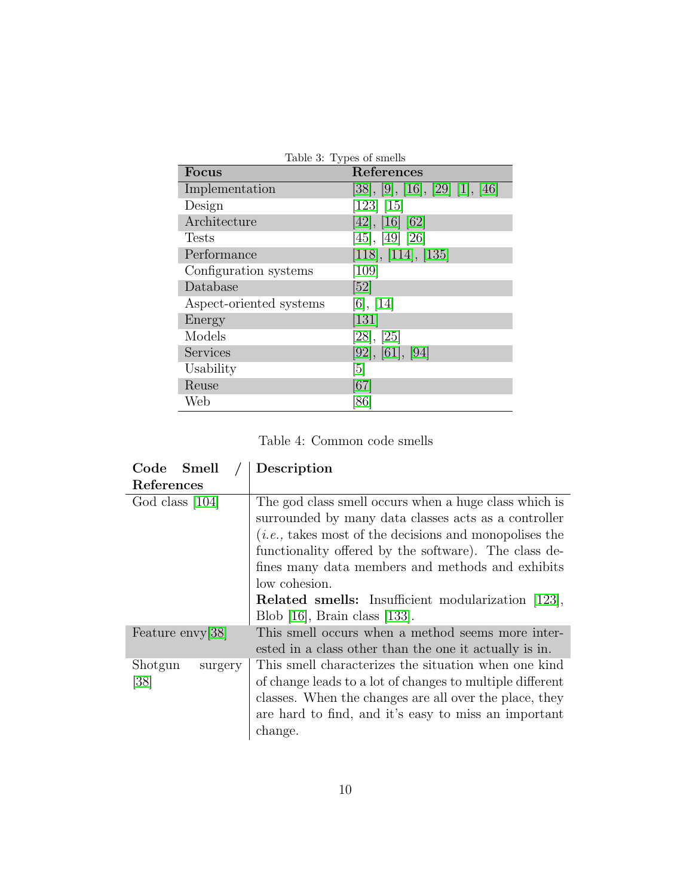| <b>Focus</b>            | Table 3: Types of smells<br>References |
|-------------------------|----------------------------------------|
| Implementation          | [38], [9], [16], [29], [1], [46]       |
| Design                  | [123] [15]                             |
| Architecture            | [42], [16] [62]                        |
| <b>Tests</b>            | [45], [49] [26]                        |
| Performance             | [118], [114], [135]                    |
| Configuration systems   | [109]                                  |
| Database                | [52]                                   |
| Aspect-oriented systems | [6], [14]                              |
| Energy                  | $[131]$                                |
| Models                  | [28], [25]                             |
| Services                | [92], [61], [94]                       |
| Usability               | [5]                                    |
| Reuse                   | [67]                                   |
| Web                     | [86]                                   |

<span id="page-9-0"></span>Table 3: Types of smells

| Table 4: Common code smells |
|-----------------------------|
|-----------------------------|

<span id="page-9-1"></span>

| Code Smell                 | Description                                                                                                                                                                                                                                                                                             |
|----------------------------|---------------------------------------------------------------------------------------------------------------------------------------------------------------------------------------------------------------------------------------------------------------------------------------------------------|
| References                 |                                                                                                                                                                                                                                                                                                         |
| God class [104]            | The god class smell occurs when a huge class which is<br>surrounded by many data classes acts as a controller<br>$(i.e.,$ takes most of the decisions and monopolises the<br>functionality offered by the software). The class de-<br>fines many data members and methods and exhibits<br>low cohesion. |
|                            | <b>Related smells:</b> Insufficient modularization [123],<br>Blob $[16]$ , Brain class $[133]$ .                                                                                                                                                                                                        |
| Feature envy[38]           | This smell occurs when a method seems more inter-<br>ested in a class other than the one it actually is in.                                                                                                                                                                                             |
| Shotgun<br>surgery<br>[38] | This smell characterizes the situation when one kind<br>of change leads to a lot of changes to multiple different<br>classes. When the changes are all over the place, they<br>are hard to find, and it's easy to miss an important<br>change.                                                          |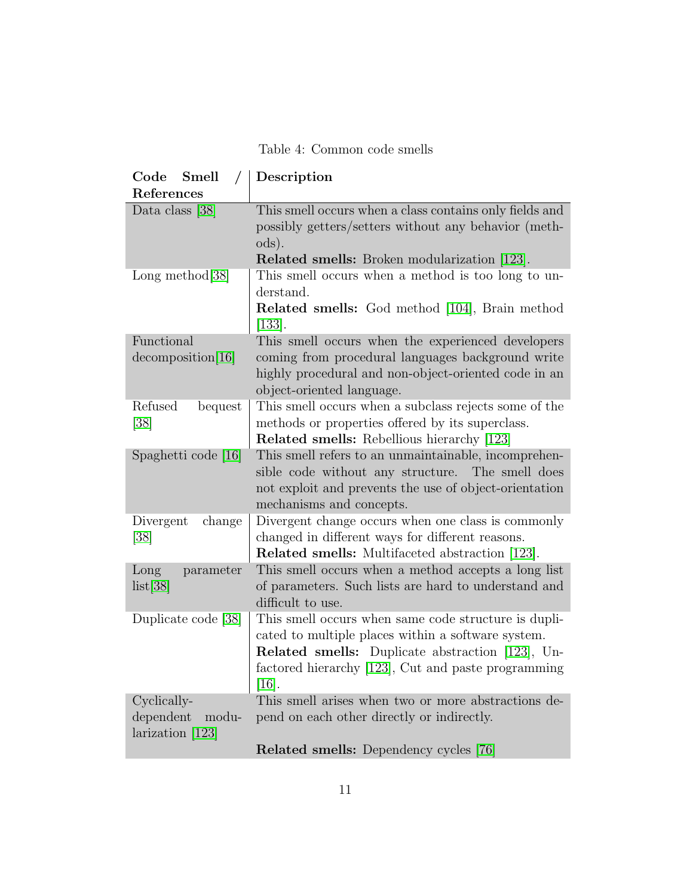Table 4: Common code smells

| Code Smell<br>References                              | Description                                                                                                                                                                                                                              |
|-------------------------------------------------------|------------------------------------------------------------------------------------------------------------------------------------------------------------------------------------------------------------------------------------------|
| Data class [38]                                       | This smell occurs when a class contains only fields and<br>possibly getters/setters without any behavior (meth-<br>ods).<br><b>Related smells:</b> Broken modularization [123].                                                          |
| Long method $[38]$                                    | This smell occurs when a method is too long to un-<br>derstand.<br>Related smells: God method [104], Brain method<br>$[133]$ .                                                                                                           |
| Functional<br>decomposition[16]                       | This smell occurs when the experienced developers<br>coming from procedural languages background write<br>highly procedural and non-object-oriented code in an<br>object-oriented language.                                              |
| Refused<br>bequest<br>[38]                            | This smell occurs when a subclass rejects some of the<br>methods or properties offered by its superclass.<br>Related smells: Rebellious hierarchy [123]                                                                                  |
| Spaghetti code [16]                                   | This smell refers to an unmaintainable, incomprehen-<br>sible code without any structure.<br>The smell does<br>not exploit and prevents the use of object-orientation<br>mechanisms and concepts.                                        |
| Divergent<br>change<br>[38]<br>Long<br>parameter      | Divergent change occurs when one class is commonly<br>changed in different ways for different reasons.<br><b>Related smells:</b> Multifaceted abstraction [123].<br>This smell occurs when a method accepts a long list                  |
| list[38]                                              | of parameters. Such lists are hard to understand and<br>difficult to use.                                                                                                                                                                |
| Duplicate code [38]                                   | This smell occurs when same code structure is dupli-<br>cated to multiple places within a software system.<br><b>Related smells:</b> Duplicate abstraction [123], Un-<br>factored hierarchy [123], Cut and paste programming<br>$[16]$ . |
| Cyclically-<br>dependent<br>modu-<br>larization [123] | This smell arises when two or more abstractions de-<br>pend on each other directly or indirectly.                                                                                                                                        |
|                                                       | Related smells: Dependency cycles [76]                                                                                                                                                                                                   |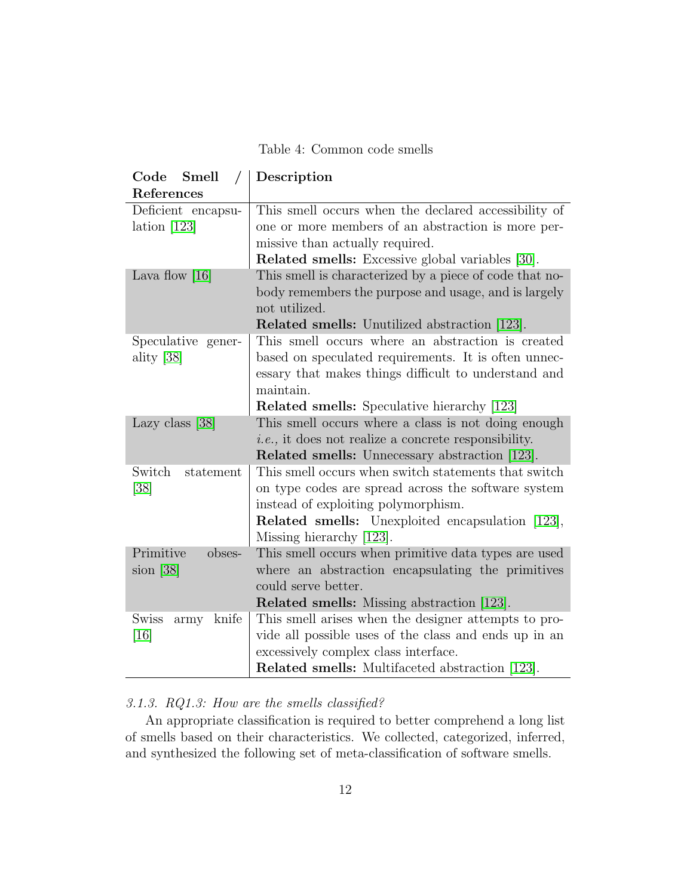Table 4: Common code smells

| Code Smell<br>$\left  \right $ | Description                                             |
|--------------------------------|---------------------------------------------------------|
| References                     |                                                         |
| Deficient encapsu-             | This smell occurs when the declared accessibility of    |
| lation $[123]$                 | one or more members of an abstraction is more per-      |
|                                | missive than actually required.                         |
|                                | <b>Related smells:</b> Excessive global variables [30]. |
| Lava flow $[16]$               | This smell is characterized by a piece of code that no- |
|                                | body remembers the purpose and usage, and is largely    |
|                                | not utilized.                                           |
|                                | <b>Related smells:</b> Unutilized abstraction [123].    |
| Speculative gener-             | This smell occurs where an abstraction is created       |
| ality [38]                     | based on speculated requirements. It is often unnec-    |
|                                | essary that makes things difficult to understand and    |
|                                | maintain.                                               |
|                                | <b>Related smells:</b> Speculative hierarchy [123]      |
| Lazy class $[38]$              | This smell occurs where a class is not doing enough     |
|                                | $i.e.,$ it does not realize a concrete responsibility.  |
|                                | <b>Related smells:</b> Unnecessary abstraction [123].   |
| Switch<br>statement            | This smell occurs when switch statements that switch    |
| [38]                           | on type codes are spread across the software system     |
|                                | instead of exploiting polymorphism.                     |
|                                | Related smells: Unexploited encapsulation [123],        |
|                                | Missing hierarchy [123].                                |
| Primitive<br>obses-            | This smell occurs when primitive data types are used    |
| $sion$ [38]                    | where an abstraction encapsulating the primitives       |
|                                | could serve better.                                     |
|                                | <b>Related smells:</b> Missing abstraction [123].       |
| <b>Swiss</b><br>knife<br>army  | This smell arises when the designer attempts to pro-    |
| [16]                           | vide all possible uses of the class and ends up in an   |
|                                | excessively complex class interface.                    |
|                                | Related smells: Multifaceted abstraction [123].         |

# 3.1.3. RQ1.3: How are the smells classified?

An appropriate classification is required to better comprehend a long list of smells based on their characteristics. We collected, categorized, inferred, and synthesized the following set of meta-classification of software smells.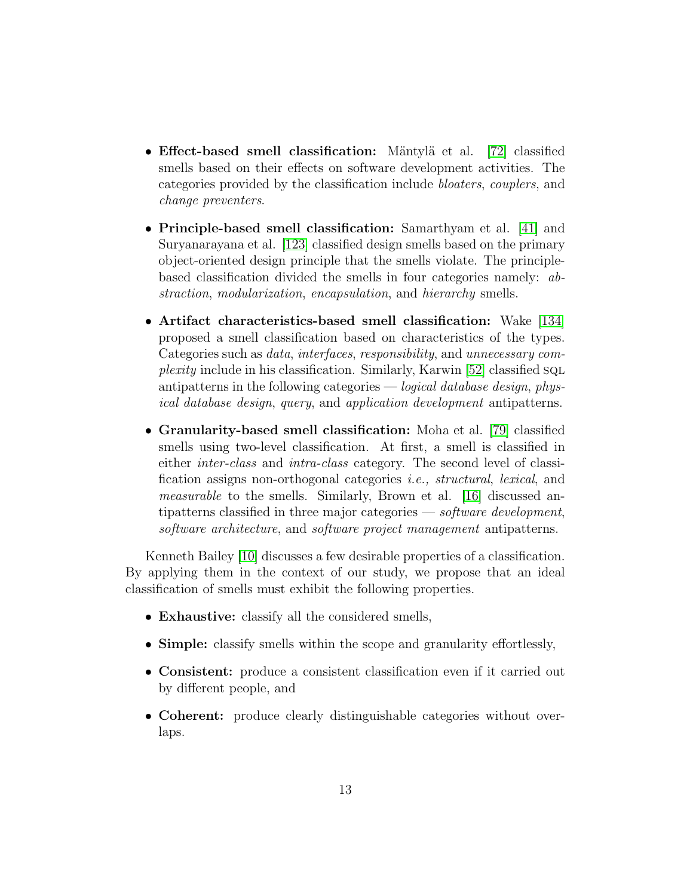- Effect-based smell classification: Mäntylä et al. [\[72\]](#page-42-2) classified smells based on their effects on software development activities. The categories provided by the classification include bloaters, couplers, and change preventers.
- Principle-based smell classification: Samarthyam et al. [\[41\]](#page-38-2) and Suryanarayana et al. [\[123\]](#page-48-0) classified design smells based on the primary object-oriented design principle that the smells violate. The principlebased classification divided the smells in four categories namely: abstraction, modularization, encapsulation, and hierarchy smells.
- Artifact characteristics-based smell classification: Wake [\[134\]](#page-49-5) proposed a smell classification based on characteristics of the types. Categories such as data, interfaces, responsibility, and unnecessary com*plexity* include in his classification. Similarly, Karwin  $[52]$  classified sq. antipatterns in the following categories — *logical database design, phys*ical database design, query, and application development antipatterns.
- Granularity-based smell classification: Moha et al. [\[79\]](#page-43-1) classified smells using two-level classification. At first, a smell is classified in either inter-class and intra-class category. The second level of classification assigns non-orthogonal categories i.e., structural, lexical, and measurable to the smells. Similarly, Brown et al. [\[16\]](#page-35-1) discussed antipatterns classified in three major categories  $-$  *software development*, software architecture, and software project management antipatterns.

Kenneth Bailey [\[10\]](#page-35-4) discusses a few desirable properties of a classification. By applying them in the context of our study, we propose that an ideal classification of smells must exhibit the following properties.

- Exhaustive: classify all the considered smells,
- Simple: classify smells within the scope and granularity effortlessly,
- Consistent: produce a consistent classification even if it carried out by different people, and
- Coherent: produce clearly distinguishable categories without overlaps.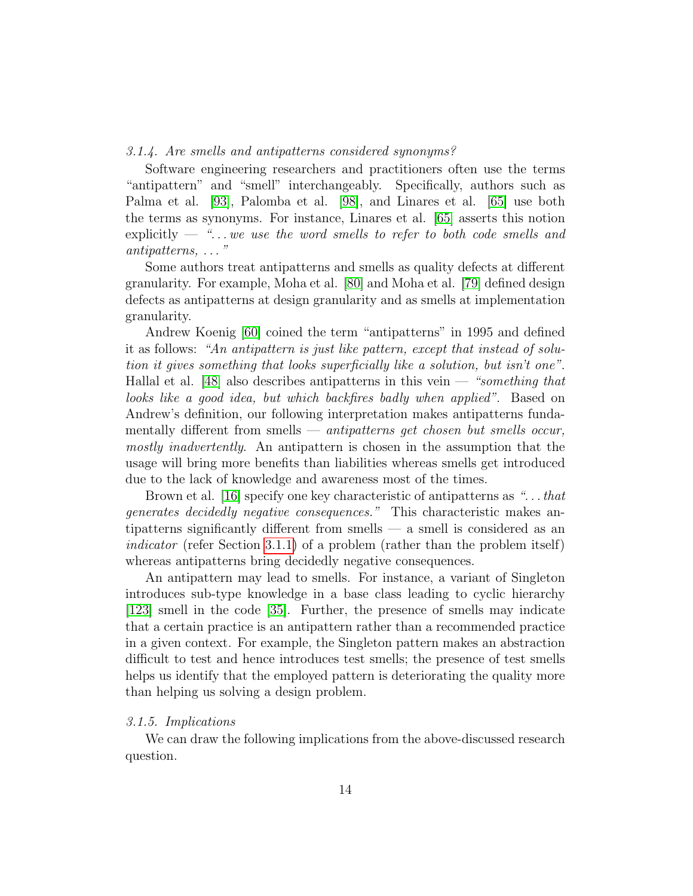## 3.1.4. Are smells and antipatterns considered synonyms?

Software engineering researchers and practitioners often use the terms "antipattern" and "smell" interchangeably. Specifically, authors such as Palma et al. [\[93\]](#page-45-1), Palomba et al. [\[98\]](#page-45-2), and Linares et al. [\[65\]](#page-41-3) use both the terms as synonyms. For instance, Linares et al. [\[65\]](#page-41-3) asserts this notion explicitly  $-$  "... we use the word smells to refer to both code smells and antipatterns, . . . "

Some authors treat antipatterns and smells as quality defects at different granularity. For example, Moha et al. [\[80\]](#page-43-2) and Moha et al. [\[79\]](#page-43-1) defined design defects as antipatterns at design granularity and as smells at implementation granularity.

Andrew Koenig [\[60\]](#page-41-4) coined the term "antipatterns" in 1995 and defined it as follows: "An antipattern is just like pattern, except that instead of solution it gives something that looks superficially like a solution, but isn't one". Hallal et al. [\[48\]](#page-39-4) also describes antipatterns in this vein  $-$  "something that looks like a good idea, but which backfires badly when applied". Based on Andrew's definition, our following interpretation makes antipatterns fundamentally different from smells — antipatterns get chosen but smells occur, mostly inadvertently. An antipattern is chosen in the assumption that the usage will bring more benefits than liabilities whereas smells get introduced due to the lack of knowledge and awareness most of the times.

Brown et al. [\[16\]](#page-35-1) specify one key characteristic of antipatterns as ". . . that generates decidedly negative consequences." This characteristic makes antipatterns significantly different from smells — a smell is considered as an indicator (refer Section [3.1.1\)](#page-7-1) of a problem (rather than the problem itself) whereas antipatterns bring decidedly negative consequences.

An antipattern may lead to smells. For instance, a variant of Singleton introduces sub-type knowledge in a base class leading to cyclic hierarchy [\[123\]](#page-48-0) smell in the code [\[35\]](#page-38-3). Further, the presence of smells may indicate that a certain practice is an antipattern rather than a recommended practice in a given context. For example, the Singleton pattern makes an abstraction difficult to test and hence introduces test smells; the presence of test smells helps us identify that the employed pattern is deteriorating the quality more than helping us solving a design problem.

#### 3.1.5. Implications

We can draw the following implications from the above-discussed research question.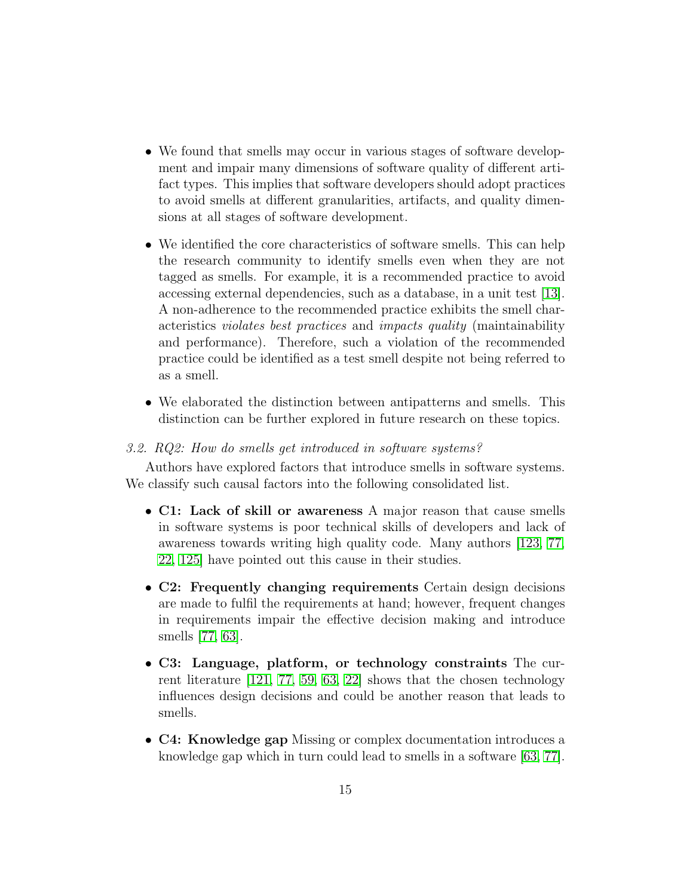- We found that smells may occur in various stages of software development and impair many dimensions of software quality of different artifact types. This implies that software developers should adopt practices to avoid smells at different granularities, artifacts, and quality dimensions at all stages of software development.
- We identified the core characteristics of software smells. This can help the research community to identify smells even when they are not tagged as smells. For example, it is a recommended practice to avoid accessing external dependencies, such as a database, in a unit test [\[13\]](#page-35-5). A non-adherence to the recommended practice exhibits the smell characteristics violates best practices and impacts quality (maintainability and performance). Therefore, such a violation of the recommended practice could be identified as a test smell despite not being referred to as a smell.
- We elaborated the distinction between antipatterns and smells. This distinction can be further explored in future research on these topics.

### 3.2. RQ2: How do smells get introduced in software systems?

Authors have explored factors that introduce smells in software systems. We classify such causal factors into the following consolidated list.

- C1: Lack of skill or awareness A major reason that cause smells in software systems is poor technical skills of developers and lack of awareness towards writing high quality code. Many authors [\[123,](#page-48-0) [77,](#page-43-3) [22,](#page-36-2) [125\]](#page-48-1) have pointed out this cause in their studies.
- C2: Frequently changing requirements Certain design decisions are made to fulfil the requirements at hand; however, frequent changes in requirements impair the effective decision making and introduce smells [\[77,](#page-43-3) [63\]](#page-41-5).
- C3: Language, platform, or technology constraints The current literature [\[121,](#page-48-2) [77,](#page-43-3) [59,](#page-41-6) [63,](#page-41-5) [22\]](#page-36-2) shows that the chosen technology influences design decisions and could be another reason that leads to smells.
- C4: Knowledge gap Missing or complex documentation introduces a knowledge gap which in turn could lead to smells in a software [\[63,](#page-41-5) [77\]](#page-43-3).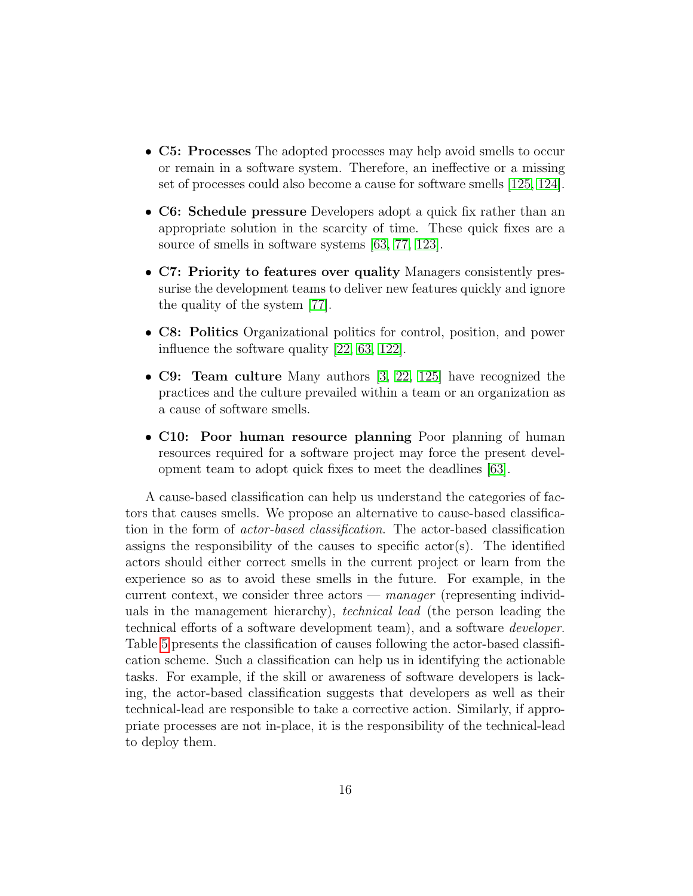- C5: Processes The adopted processes may help avoid smells to occur or remain in a software system. Therefore, an ineffective or a missing set of processes could also become a cause for software smells [\[125,](#page-48-1) [124\]](#page-48-3).
- C6: Schedule pressure Developers adopt a quick fix rather than an appropriate solution in the scarcity of time. These quick fixes are a source of smells in software systems [\[63,](#page-41-5) [77,](#page-43-3) [123\]](#page-48-0).
- C7: Priority to features over quality Managers consistently pressurise the development teams to deliver new features quickly and ignore the quality of the system [\[77\]](#page-43-3).
- C8: Politics Organizational politics for control, position, and power influence the software quality [\[22,](#page-36-2) [63,](#page-41-5) [122\]](#page-48-4).
- C9: Team culture Many authors [\[3,](#page-34-4) [22,](#page-36-2) [125\]](#page-48-1) have recognized the practices and the culture prevailed within a team or an organization as a cause of software smells.
- C10: Poor human resource planning Poor planning of human resources required for a software project may force the present development team to adopt quick fixes to meet the deadlines [\[63\]](#page-41-5).

A cause-based classification can help us understand the categories of factors that causes smells. We propose an alternative to cause-based classification in the form of actor-based classification. The actor-based classification assigns the responsibility of the causes to specific actor(s). The identified actors should either correct smells in the current project or learn from the experience so as to avoid these smells in the future. For example, in the current context, we consider three actors — manager (representing individuals in the management hierarchy), technical lead (the person leading the technical efforts of a software development team), and a software developer. Table [5](#page-16-0) presents the classification of causes following the actor-based classification scheme. Such a classification can help us in identifying the actionable tasks. For example, if the skill or awareness of software developers is lacking, the actor-based classification suggests that developers as well as their technical-lead are responsible to take a corrective action. Similarly, if appropriate processes are not in-place, it is the responsibility of the technical-lead to deploy them.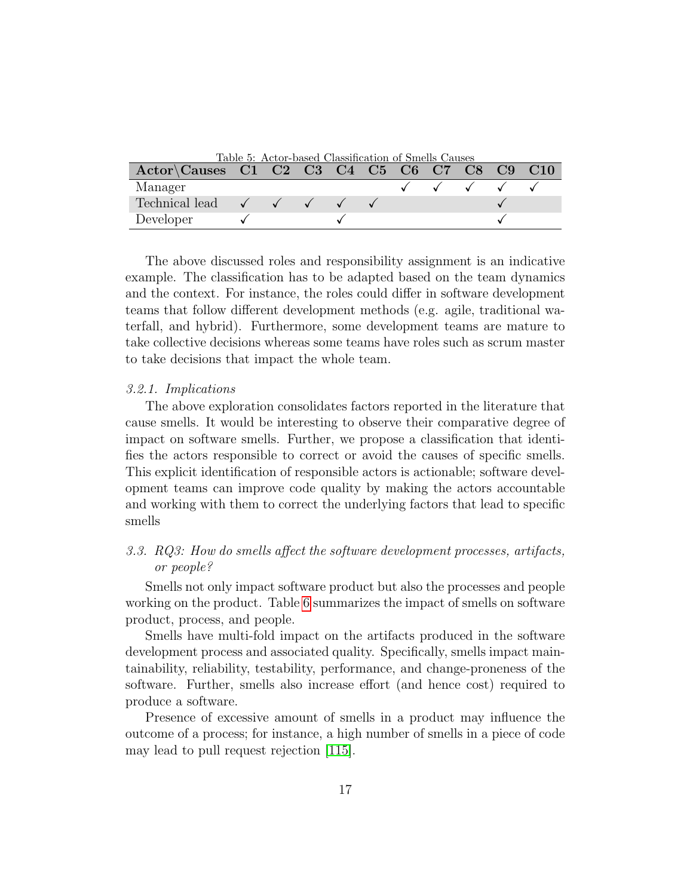<span id="page-16-0"></span>

| Table 5: Actor-based Classification of Smells Causes |  |  |  |  |  |  |  |                                                                  |  |
|------------------------------------------------------|--|--|--|--|--|--|--|------------------------------------------------------------------|--|
| Actor Causes C1 C2 C3 C4 C5 C6 C7 C8 C9 C10          |  |  |  |  |  |  |  |                                                                  |  |
| Manager                                              |  |  |  |  |  |  |  | $\checkmark$ $\checkmark$ $\checkmark$ $\checkmark$ $\checkmark$ |  |
| Technical lead $\checkmark$ $\checkmark$             |  |  |  |  |  |  |  |                                                                  |  |
| Developer                                            |  |  |  |  |  |  |  |                                                                  |  |

The above discussed roles and responsibility assignment is an indicative example. The classification has to be adapted based on the team dynamics and the context. For instance, the roles could differ in software development teams that follow different development methods (e.g. agile, traditional waterfall, and hybrid). Furthermore, some development teams are mature to take collective decisions whereas some teams have roles such as scrum master to take decisions that impact the whole team.

### 3.2.1. Implications

The above exploration consolidates factors reported in the literature that cause smells. It would be interesting to observe their comparative degree of impact on software smells. Further, we propose a classification that identifies the actors responsible to correct or avoid the causes of specific smells. This explicit identification of responsible actors is actionable; software development teams can improve code quality by making the actors accountable and working with them to correct the underlying factors that lead to specific smells

# <span id="page-16-1"></span>3.3. RQ3: How do smells affect the software development processes, artifacts, or people?

Smells not only impact software product but also the processes and people working on the product. Table [6](#page-17-0) summarizes the impact of smells on software product, process, and people.

Smells have multi-fold impact on the artifacts produced in the software development process and associated quality. Specifically, smells impact maintainability, reliability, testability, performance, and change-proneness of the software. Further, smells also increase effort (and hence cost) required to produce a software.

Presence of excessive amount of smells in a product may influence the outcome of a process; for instance, a high number of smells in a piece of code may lead to pull request rejection [\[115\]](#page-47-5).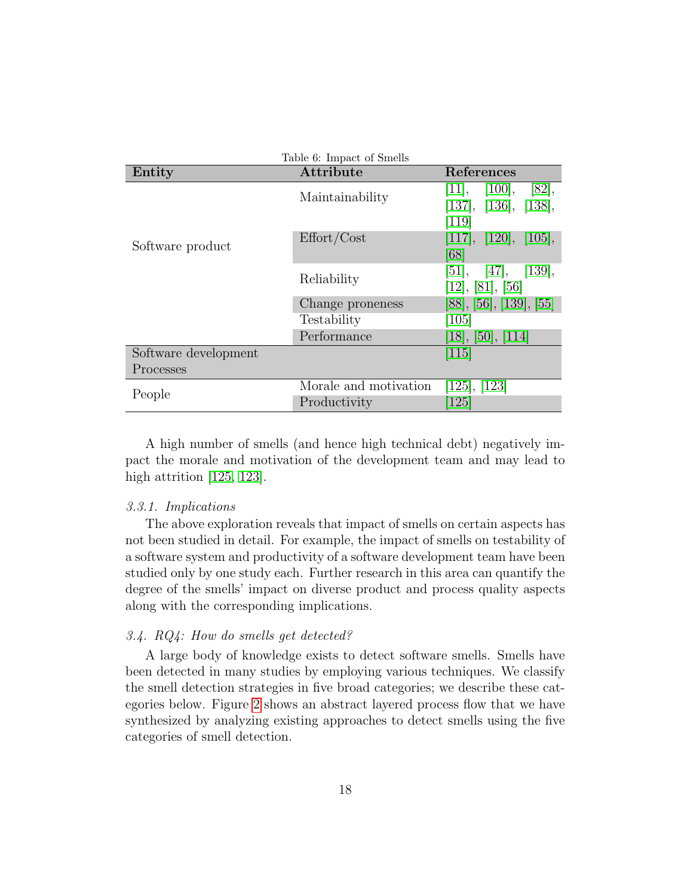<span id="page-17-0"></span>

| Table 6: Impact of Smells |                       |                                                              |  |  |  |  |
|---------------------------|-----------------------|--------------------------------------------------------------|--|--|--|--|
| Entity                    | Attribute             | References                                                   |  |  |  |  |
|                           | Maintainability       | [100],<br>[82],<br>$[11]$ ,<br>[137], [136], [138],<br>[119] |  |  |  |  |
| Software product          | Effort/Cost           | [117], [120], [105],<br>[68]                                 |  |  |  |  |
|                           | Reliability           | [51], [47], [139],<br>[12], [81], [56]                       |  |  |  |  |
|                           | Change proneness      | $[88]$ , [56], [139], [55]                                   |  |  |  |  |
|                           | Testability           | $\left[105\right]$                                           |  |  |  |  |
|                           | Performance           | [18], [50], [114]                                            |  |  |  |  |
| Software development      |                       | $\left[115\right]$                                           |  |  |  |  |
| Processes                 |                       |                                                              |  |  |  |  |
|                           | Morale and motivation | [125], [123]                                                 |  |  |  |  |
| People                    | Productivity          | $\left[125\right]$                                           |  |  |  |  |

A high number of smells (and hence high technical debt) negatively impact the morale and motivation of the development team and may lead to high attrition [\[125,](#page-48-1) [123\]](#page-48-0).

### 3.3.1. Implications

The above exploration reveals that impact of smells on certain aspects has not been studied in detail. For example, the impact of smells on testability of a software system and productivity of a software development team have been studied only by one study each. Further research in this area can quantify the degree of the smells' impact on diverse product and process quality aspects along with the corresponding implications.

# 3.4. RQ4: How do smells get detected?

A large body of knowledge exists to detect software smells. Smells have been detected in many studies by employing various techniques. We classify the smell detection strategies in five broad categories; we describe these categories below. Figure [2](#page-18-0) shows an abstract layered process flow that we have synthesized by analyzing existing approaches to detect smells using the five categories of smell detection.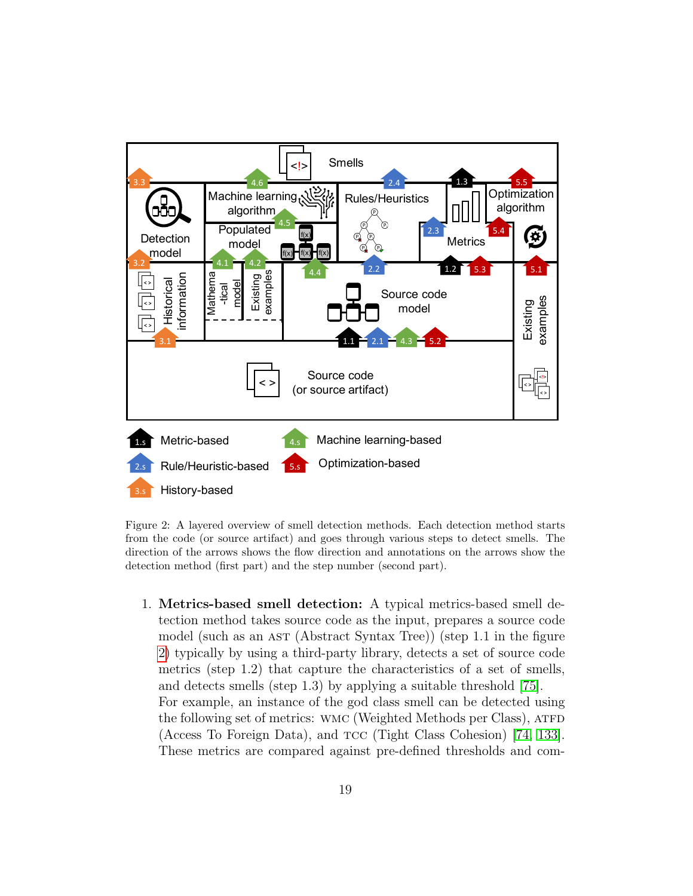

<span id="page-18-0"></span>Figure 2: A layered overview of smell detection methods. Each detection method starts from the code (or source artifact) and goes through various steps to detect smells. The direction of the arrows shows the flow direction and annotations on the arrows show the detection method (first part) and the step number (second part).

1. Metrics-based smell detection: A typical metrics-based smell detection method takes source code as the input, prepares a source code model (such as an AST (Abstract Syntax Tree)) (step 1.1 in the figure [2\)](#page-18-0) typically by using a third-party library, detects a set of source code metrics (step 1.2) that capture the characteristics of a set of smells, and detects smells (step 1.3) by applying a suitable threshold [\[75\]](#page-42-4). For example, an instance of the god class smell can be detected using the following set of metrics: WMC (Weighted Methods per Class), ATFD (Access To Foreign Data), and tcc (Tight Class Cohesion) [\[74,](#page-42-5) [133\]](#page-49-4). These metrics are compared against pre-defined thresholds and com-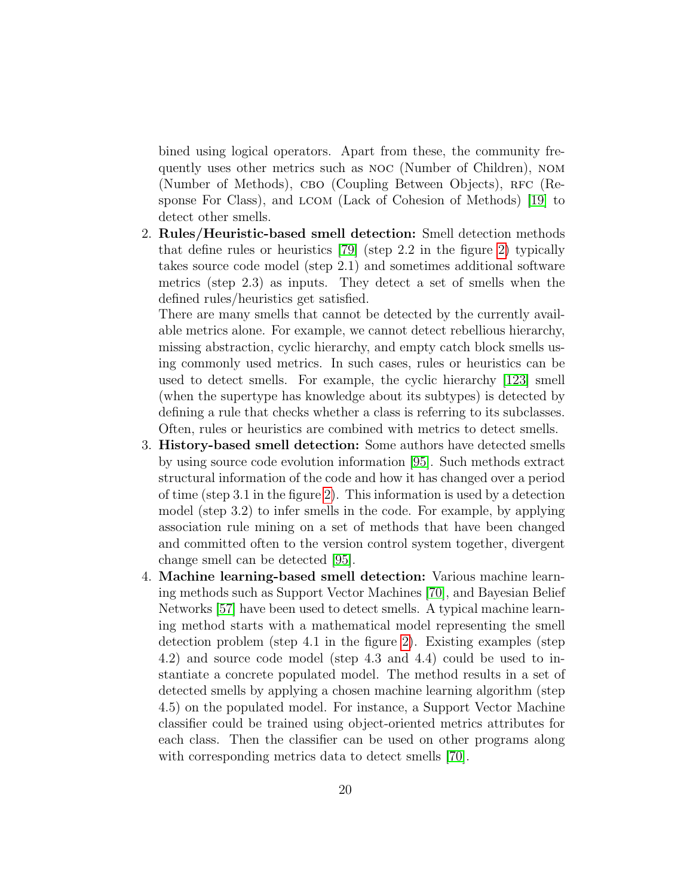bined using logical operators. Apart from these, the community frequently uses other metrics such as noc (Number of Children), nom (Number of Methods), CBO (Coupling Between Objects), RFC (Response For Class), and lcom (Lack of Cohesion of Methods) [\[19\]](#page-36-4) to detect other smells.

2. Rules/Heuristic-based smell detection: Smell detection methods that define rules or heuristics [\[79\]](#page-43-1) (step 2.2 in the figure [2\)](#page-18-0) typically takes source code model (step 2.1) and sometimes additional software metrics (step 2.3) as inputs. They detect a set of smells when the defined rules/heuristics get satisfied.

There are many smells that cannot be detected by the currently available metrics alone. For example, we cannot detect rebellious hierarchy, missing abstraction, cyclic hierarchy, and empty catch block smells using commonly used metrics. In such cases, rules or heuristics can be used to detect smells. For example, the cyclic hierarchy [\[123\]](#page-48-0) smell (when the supertype has knowledge about its subtypes) is detected by defining a rule that checks whether a class is referring to its subclasses. Often, rules or heuristics are combined with metrics to detect smells.

- 3. History-based smell detection: Some authors have detected smells by using source code evolution information [\[95\]](#page-45-4). Such methods extract structural information of the code and how it has changed over a period of time (step 3.1 in the figure [2\)](#page-18-0). This information is used by a detection model (step 3.2) to infer smells in the code. For example, by applying association rule mining on a set of methods that have been changed and committed often to the version control system together, divergent change smell can be detected [\[95\]](#page-45-4).
- 4. Machine learning-based smell detection: Various machine learning methods such as Support Vector Machines [\[70\]](#page-42-0), and Bayesian Belief Networks [\[57\]](#page-40-6) have been used to detect smells. A typical machine learning method starts with a mathematical model representing the smell detection problem (step 4.1 in the figure [2\)](#page-18-0). Existing examples (step 4.2) and source code model (step 4.3 and 4.4) could be used to instantiate a concrete populated model. The method results in a set of detected smells by applying a chosen machine learning algorithm (step 4.5) on the populated model. For instance, a Support Vector Machine classifier could be trained using object-oriented metrics attributes for each class. Then the classifier can be used on other programs along with corresponding metrics data to detect smells [\[70\]](#page-42-0).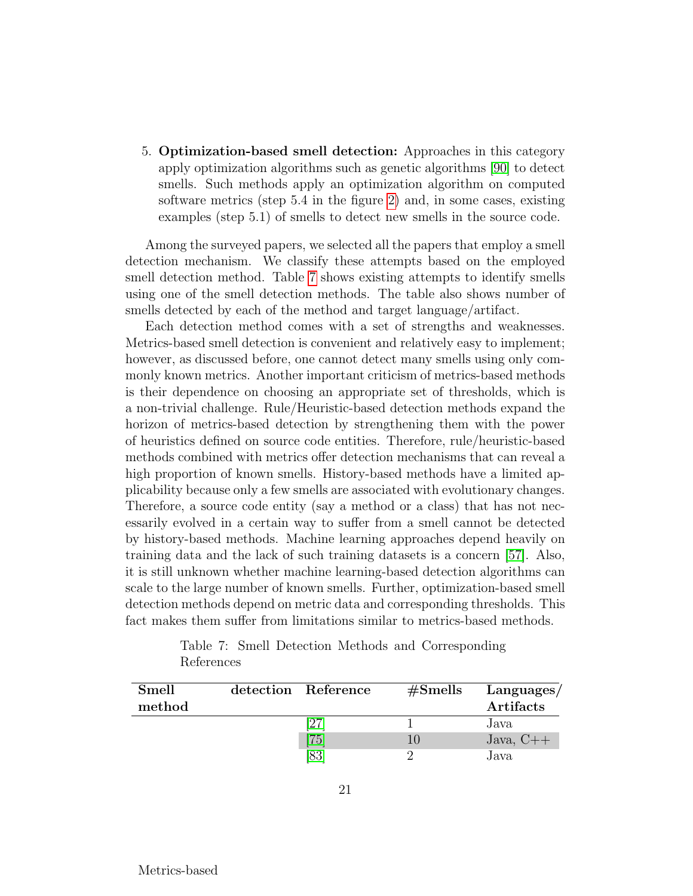5. Optimization-based smell detection: Approaches in this category apply optimization algorithms such as genetic algorithms [\[90\]](#page-44-3) to detect smells. Such methods apply an optimization algorithm on computed software metrics (step 5.4 in the figure [2\)](#page-18-0) and, in some cases, existing examples (step 5.1) of smells to detect new smells in the source code.

Among the surveyed papers, we selected all the papers that employ a smell detection mechanism. We classify these attempts based on the employed smell detection method. Table [7](#page-20-0) shows existing attempts to identify smells using one of the smell detection methods. The table also shows number of smells detected by each of the method and target language/artifact.

Each detection method comes with a set of strengths and weaknesses. Metrics-based smell detection is convenient and relatively easy to implement; however, as discussed before, one cannot detect many smells using only commonly known metrics. Another important criticism of metrics-based methods is their dependence on choosing an appropriate set of thresholds, which is a non-trivial challenge. Rule/Heuristic-based detection methods expand the horizon of metrics-based detection by strengthening them with the power of heuristics defined on source code entities. Therefore, rule/heuristic-based methods combined with metrics offer detection mechanisms that can reveal a high proportion of known smells. History-based methods have a limited applicability because only a few smells are associated with evolutionary changes. Therefore, a source code entity (say a method or a class) that has not necessarily evolved in a certain way to suffer from a smell cannot be detected by history-based methods. Machine learning approaches depend heavily on training data and the lack of such training datasets is a concern [\[57\]](#page-40-6). Also, it is still unknown whether machine learning-based detection algorithms can scale to the large number of known smells. Further, optimization-based smell detection methods depend on metric data and corresponding thresholds. This fact makes them suffer from limitations similar to metrics-based methods.

<span id="page-20-0"></span>

| Smell<br>method | detection Reference | #Smells | $L$ anguages/<br><b>Artifacts</b> |
|-----------------|---------------------|---------|-----------------------------------|
|                 |                     |         | Java                              |
|                 | 75                  |         | Java, $C++$                       |
|                 | 83                  |         | Java                              |

Table 7: Smell Detection Methods and Corresponding References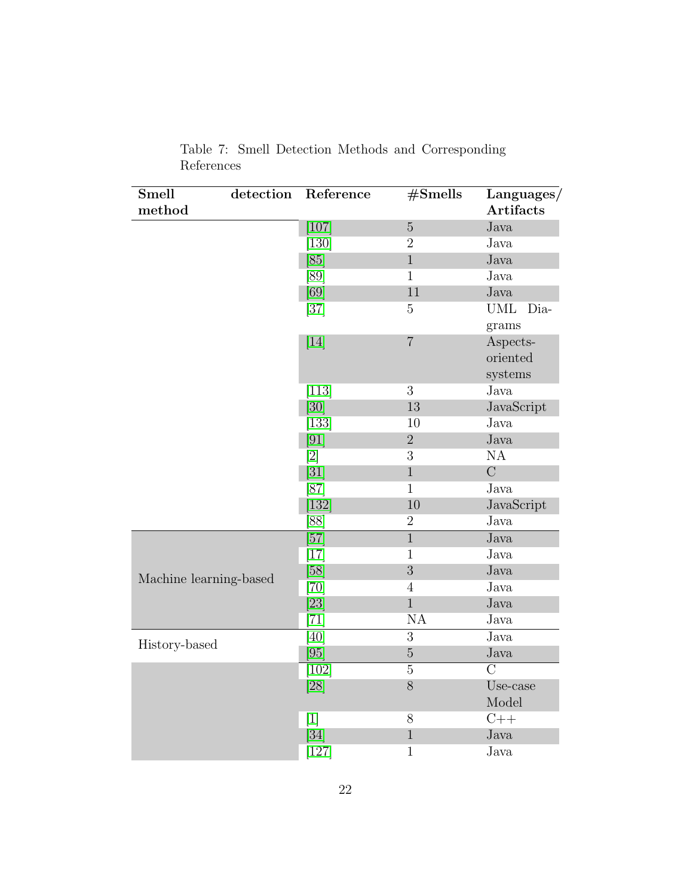| <b>Smell</b>           | detection | Reference                    | $\#Smells$      | Languages/         |
|------------------------|-----------|------------------------------|-----------------|--------------------|
| method                 |           |                              |                 | <b>Artifacts</b>   |
|                        |           | $[107]$                      | $\bf 5$         | Java               |
|                        |           | $[130]$                      | $\overline{2}$  | Java               |
|                        |           | [85]                         | $\overline{1}$  | Java               |
|                        |           | [89]                         | $\mathbf{1}$    | Java               |
|                        |           | [69]                         | $11\,$          | Java               |
|                        |           | $[37]$                       | $\overline{5}$  | <b>UML</b><br>Dia- |
|                        |           |                              |                 | grams              |
|                        |           | $[14]$                       | $\overline{7}$  | Aspects-           |
|                        |           |                              |                 | oriented           |
|                        |           |                              |                 | systems            |
|                        |           | $[113]$                      | 3               | Java               |
|                        |           | [30]                         | 13              | JavaScript         |
|                        |           | $[133]$                      | $10\,$          | Java               |
|                        |           | [91]                         | $\overline{2}$  | Java               |
|                        |           |                              | 3               | NA                 |
|                        |           | $\left[31\right]$            | $\,1$           | $\overline{C}$     |
|                        |           | $[87]$                       | $\mathbf{1}$    | Java               |
|                        |           | $[132]$                      | 10              | JavaScript         |
|                        |           | [88]                         | $\overline{2}$  | Java               |
|                        |           | $[57]$                       | $\overline{1}$  | Java               |
|                        |           | [17]                         | $\mathbf{1}$    | Java               |
|                        |           | [58]                         | 3               | Java               |
| Machine learning-based |           | [70]                         | $\overline{4}$  | Java               |
|                        |           | $[23]$                       | $\mathbf{1}$    | Java               |
|                        |           | $\left\lceil 71\right\rceil$ | $\overline{NA}$ | Java               |
|                        |           | [40]                         | $\overline{3}$  | Java               |
| History-based          |           | [95]                         | $\bf 5$         | Java               |
|                        |           | $[102]$                      | $\overline{5}$  | $\overline{C}$     |
|                        |           | [28]                         | 8               | Use-case           |
|                        |           |                              |                 | Model              |
|                        |           | $[1]$                        | 8               | $C++$              |
|                        |           | $[34]$                       | $\overline{1}$  | Java               |
|                        |           | $[127]$                      | $\mathbf{1}$    | Java               |

Table 7: Smell Detection Methods and Corresponding References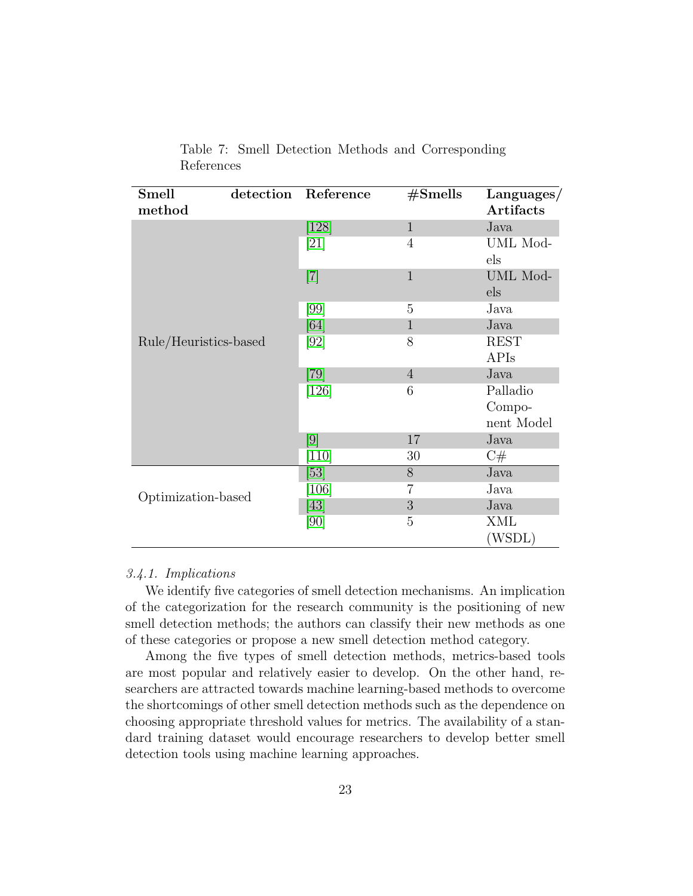| Smell                 | detection | Reference | #Smells        | $L$ anguages/ |
|-----------------------|-----------|-----------|----------------|---------------|
| method                |           |           |                | Artifacts     |
|                       |           | $[128]$   | $\mathbf{1}$   | Java          |
|                       |           | [21]      | $\overline{4}$ | UML Mod-      |
|                       |           |           |                | els           |
|                       |           | $[7]$     | $\mathbf{1}$   | UML Mod-      |
|                       |           |           |                | els           |
|                       |           | [99]      | 5              | Java          |
|                       |           | [64]      | $\mathbf{1}$   | Java          |
| Rule/Heuristics-based |           | [92]      | 8              | <b>REST</b>   |
|                       |           |           |                | APIs          |
|                       |           | [79]      | $\overline{4}$ | Java          |
|                       |           | $[126]$   | 6              | Palladio      |
|                       |           |           |                | Compo-        |
|                       |           |           |                | nent Model    |
|                       |           | [9]       | 17             | Java          |
|                       |           | $[110]$   | 30             | C#            |
|                       |           | [53]      | 8              | Java          |
| Optimization-based    |           | [106]     | 7              | Java          |
|                       |           | [43]      | 3              | Java          |
|                       |           | [90]      | 5              | XML           |
|                       |           |           |                | (WSDL)        |

Table 7: Smell Detection Methods and Corresponding References

## 3.4.1. Implications

We identify five categories of smell detection mechanisms. An implication of the categorization for the research community is the positioning of new smell detection methods; the authors can classify their new methods as one of these categories or propose a new smell detection method category.

Among the five types of smell detection methods, metrics-based tools are most popular and relatively easier to develop. On the other hand, researchers are attracted towards machine learning-based methods to overcome the shortcomings of other smell detection methods such as the dependence on choosing appropriate threshold values for metrics. The availability of a standard training dataset would encourage researchers to develop better smell detection tools using machine learning approaches.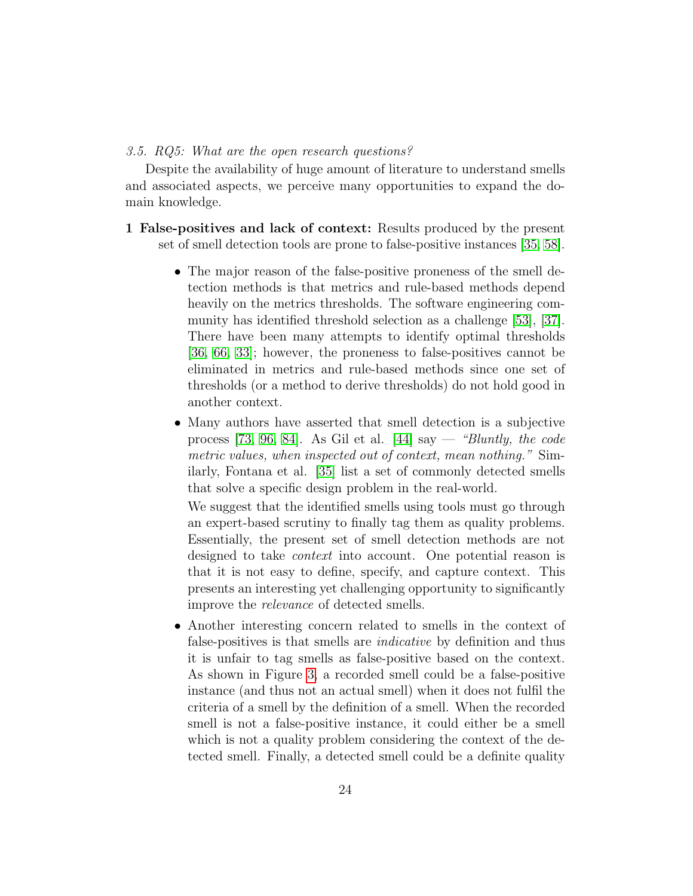### 3.5. RQ5: What are the open research questions?

Despite the availability of huge amount of literature to understand smells and associated aspects, we perceive many opportunities to expand the domain knowledge.

- 1 False-positives and lack of context: Results produced by the present set of smell detection tools are prone to false-positive instances [\[35,](#page-38-3) [58\]](#page-40-1).
	- The major reason of the false-positive proneness of the smell detection methods is that metrics and rule-based methods depend heavily on the metrics thresholds. The software engineering community has identified threshold selection as a challenge [\[53\]](#page-40-7), [\[37\]](#page-38-1). There have been many attempts to identify optimal thresholds [\[36,](#page-38-6) [66,](#page-41-8) [33\]](#page-38-7); however, the proneness to false-positives cannot be eliminated in metrics and rule-based methods since one set of thresholds (or a method to derive thresholds) do not hold good in another context.
	- Many authors have asserted that smell detection is a subjective process [\[73,](#page-42-8) [96,](#page-45-6) [84\]](#page-43-8). As Gil et al.  $[44]$  say  $-$  "Bluntly, the code metric values, when inspected out of context, mean nothing." Similarly, Fontana et al. [\[35\]](#page-38-3) list a set of commonly detected smells that solve a specific design problem in the real-world.

We suggest that the identified smells using tools must go through an expert-based scrutiny to finally tag them as quality problems. Essentially, the present set of smell detection methods are not designed to take *context* into account. One potential reason is that it is not easy to define, specify, and capture context. This presents an interesting yet challenging opportunity to significantly improve the relevance of detected smells.

• Another interesting concern related to smells in the context of false-positives is that smells are indicative by definition and thus it is unfair to tag smells as false-positive based on the context. As shown in Figure [3,](#page-24-0) a recorded smell could be a false-positive instance (and thus not an actual smell) when it does not fulfil the criteria of a smell by the definition of a smell. When the recorded smell is not a false-positive instance, it could either be a smell which is not a quality problem considering the context of the detected smell. Finally, a detected smell could be a definite quality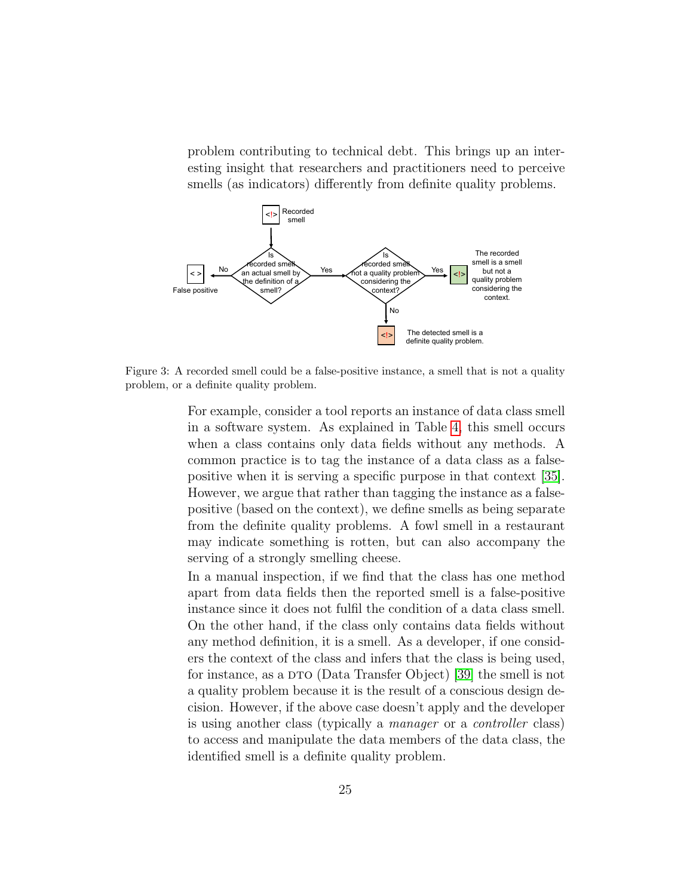problem contributing to technical debt. This brings up an interesting insight that researchers and practitioners need to perceive smells (as indicators) differently from definite quality problems.



Figure 3: A recorded smell could be a false-positive instance, a smell that is not a quality problem, or a definite quality problem.

<span id="page-24-0"></span>For example, consider a tool reports an instance of data class smell in a software system. As explained in Table [4,](#page-9-1) this smell occurs when a class contains only data fields without any methods. A common practice is to tag the instance of a data class as a falsepositive when it is serving a specific purpose in that context [\[35\]](#page-38-3). However, we argue that rather than tagging the instance as a falsepositive (based on the context), we define smells as being separate from the definite quality problems. A fowl smell in a restaurant may indicate something is rotten, but can also accompany the serving of a strongly smelling cheese.

In a manual inspection, if we find that the class has one method apart from data fields then the reported smell is a false-positive instance since it does not fulfil the condition of a data class smell. On the other hand, if the class only contains data fields without any method definition, it is a smell. As a developer, if one considers the context of the class and infers that the class is being used, for instance, as a DTO (Data Transfer Object) [\[39\]](#page-38-8) the smell is not a quality problem because it is the result of a conscious design decision. However, if the above case doesn't apply and the developer is using another class (typically a manager or a controller class) to access and manipulate the data members of the data class, the identified smell is a definite quality problem.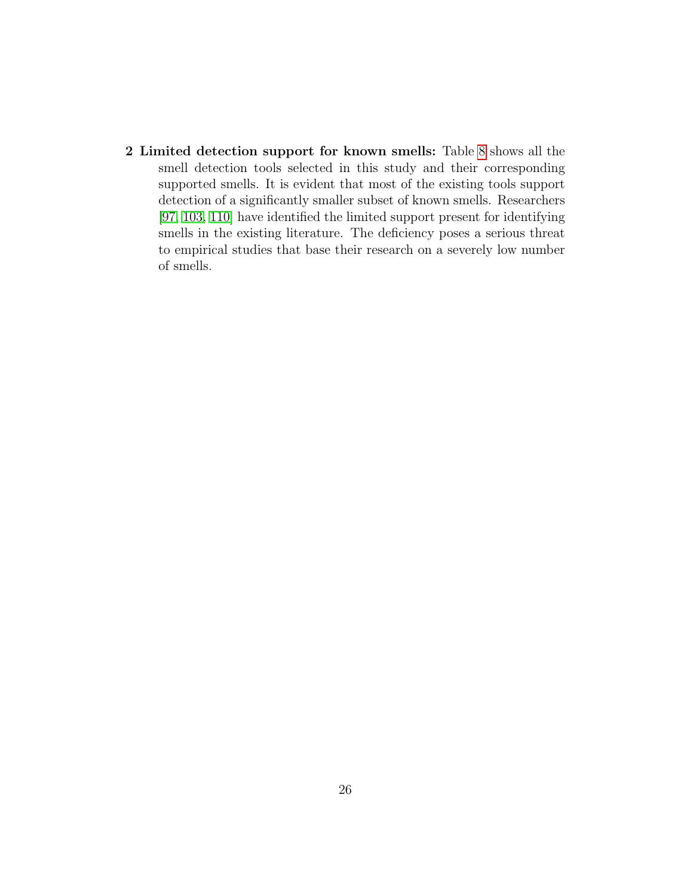2 Limited detection support for known smells: Table [8](#page-26-0) shows all the smell detection tools selected in this study and their corresponding supported smells. It is evident that most of the existing tools support detection of a significantly smaller subset of known smells. Researchers [\[97,](#page-45-7) [103,](#page-46-1) [110\]](#page-47-8) have identified the limited support present for identifying smells in the existing literature. The deficiency poses a serious threat to empirical studies that base their research on a severely low number of smells.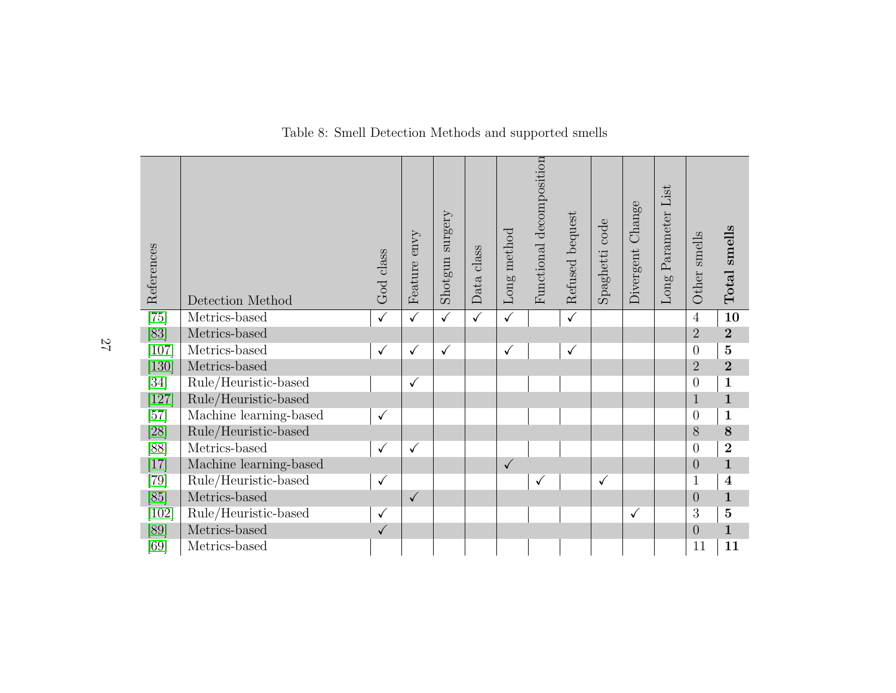<span id="page-26-0"></span>

| $\checkmark$<br>$\checkmark$<br>$\checkmark$<br>$\checkmark$<br>$\checkmark$<br>$\checkmark$<br>$[83]$<br>Metrics-based<br>$\overline{2}$<br>$\overline{2}$<br>$\overline{5}$<br>Metrics-based<br>[107]<br>$\overline{0}$<br>$\checkmark$<br>$\checkmark$<br>$\checkmark$<br>$\checkmark$<br>$\checkmark$<br>$\overline{2}$<br>$[130]$<br>$\overline{2}$<br>Metrics-based<br>$[34]$<br>Rule/Heuristic-based<br>$\mathbf{1}$<br>$\overline{0}$<br>$\checkmark$<br>$[127]$<br>Rule/Heuristic-based<br>$\mathbf{1}$<br>$\mathbf 1$<br>[57]<br>Machine learning-based<br>$\mathbf{1}$<br>$\overline{0}$<br>$\checkmark$<br>Rule/Heuristic-based<br>$[28]$<br>$\bf 8$<br>8<br>$\overline{2}$<br>Metrics-based<br>[88]<br>$\overline{0}$<br>$\checkmark$<br>$\checkmark$<br>$[17]$<br>Machine learning-based<br>$\mathbf 1$<br>$\overline{0}$<br>$\checkmark$<br>Rule/Heuristic-based<br>$\left[79\right]$<br>$\overline{\mathbf{4}}$<br>$\mathbf{1}$<br>$\checkmark$<br>$\checkmark$<br>$\checkmark$<br>Metrics-based<br>[85]<br>$\overline{0}$<br>$\mathbf 1$<br>$\checkmark$<br>$\overline{3}$<br>$\overline{5}$<br>[102]<br>Rule/Heuristic-based<br>√<br>✓<br>Metrics-based<br>[89]<br>$\overline{0}$<br>$\mathbf{1}$<br>$\checkmark$<br>[69]<br>Metrics-based<br>11<br>11 | References | Detection Method | God class | envy<br>Feature | $s$ urgery<br>Shotgun | Data class | Long method | decomposition<br>Functional | bequest<br>Refused | code<br>Spaghetti | Change<br>Divergent | Parameter List<br>Long | smells<br>Other | smells<br>Total |
|--------------------------------------------------------------------------------------------------------------------------------------------------------------------------------------------------------------------------------------------------------------------------------------------------------------------------------------------------------------------------------------------------------------------------------------------------------------------------------------------------------------------------------------------------------------------------------------------------------------------------------------------------------------------------------------------------------------------------------------------------------------------------------------------------------------------------------------------------------------------------------------------------------------------------------------------------------------------------------------------------------------------------------------------------------------------------------------------------------------------------------------------------------------------------------------------------------------------------------------------------------------------------|------------|------------------|-----------|-----------------|-----------------------|------------|-------------|-----------------------------|--------------------|-------------------|---------------------|------------------------|-----------------|-----------------|
|                                                                                                                                                                                                                                                                                                                                                                                                                                                                                                                                                                                                                                                                                                                                                                                                                                                                                                                                                                                                                                                                                                                                                                                                                                                                          | [75]       | Metrics-based    |           |                 |                       |            |             |                             |                    |                   |                     |                        | $\overline{4}$  | 10              |
|                                                                                                                                                                                                                                                                                                                                                                                                                                                                                                                                                                                                                                                                                                                                                                                                                                                                                                                                                                                                                                                                                                                                                                                                                                                                          |            |                  |           |                 |                       |            |             |                             |                    |                   |                     |                        |                 |                 |
|                                                                                                                                                                                                                                                                                                                                                                                                                                                                                                                                                                                                                                                                                                                                                                                                                                                                                                                                                                                                                                                                                                                                                                                                                                                                          |            |                  |           |                 |                       |            |             |                             |                    |                   |                     |                        |                 |                 |
|                                                                                                                                                                                                                                                                                                                                                                                                                                                                                                                                                                                                                                                                                                                                                                                                                                                                                                                                                                                                                                                                                                                                                                                                                                                                          |            |                  |           |                 |                       |            |             |                             |                    |                   |                     |                        |                 |                 |
|                                                                                                                                                                                                                                                                                                                                                                                                                                                                                                                                                                                                                                                                                                                                                                                                                                                                                                                                                                                                                                                                                                                                                                                                                                                                          |            |                  |           |                 |                       |            |             |                             |                    |                   |                     |                        |                 |                 |
|                                                                                                                                                                                                                                                                                                                                                                                                                                                                                                                                                                                                                                                                                                                                                                                                                                                                                                                                                                                                                                                                                                                                                                                                                                                                          |            |                  |           |                 |                       |            |             |                             |                    |                   |                     |                        |                 |                 |
|                                                                                                                                                                                                                                                                                                                                                                                                                                                                                                                                                                                                                                                                                                                                                                                                                                                                                                                                                                                                                                                                                                                                                                                                                                                                          |            |                  |           |                 |                       |            |             |                             |                    |                   |                     |                        |                 |                 |
|                                                                                                                                                                                                                                                                                                                                                                                                                                                                                                                                                                                                                                                                                                                                                                                                                                                                                                                                                                                                                                                                                                                                                                                                                                                                          |            |                  |           |                 |                       |            |             |                             |                    |                   |                     |                        |                 |                 |
|                                                                                                                                                                                                                                                                                                                                                                                                                                                                                                                                                                                                                                                                                                                                                                                                                                                                                                                                                                                                                                                                                                                                                                                                                                                                          |            |                  |           |                 |                       |            |             |                             |                    |                   |                     |                        |                 |                 |
|                                                                                                                                                                                                                                                                                                                                                                                                                                                                                                                                                                                                                                                                                                                                                                                                                                                                                                                                                                                                                                                                                                                                                                                                                                                                          |            |                  |           |                 |                       |            |             |                             |                    |                   |                     |                        |                 |                 |
|                                                                                                                                                                                                                                                                                                                                                                                                                                                                                                                                                                                                                                                                                                                                                                                                                                                                                                                                                                                                                                                                                                                                                                                                                                                                          |            |                  |           |                 |                       |            |             |                             |                    |                   |                     |                        |                 |                 |
|                                                                                                                                                                                                                                                                                                                                                                                                                                                                                                                                                                                                                                                                                                                                                                                                                                                                                                                                                                                                                                                                                                                                                                                                                                                                          |            |                  |           |                 |                       |            |             |                             |                    |                   |                     |                        |                 |                 |
|                                                                                                                                                                                                                                                                                                                                                                                                                                                                                                                                                                                                                                                                                                                                                                                                                                                                                                                                                                                                                                                                                                                                                                                                                                                                          |            |                  |           |                 |                       |            |             |                             |                    |                   |                     |                        |                 |                 |
|                                                                                                                                                                                                                                                                                                                                                                                                                                                                                                                                                                                                                                                                                                                                                                                                                                                                                                                                                                                                                                                                                                                                                                                                                                                                          |            |                  |           |                 |                       |            |             |                             |                    |                   |                     |                        |                 |                 |
|                                                                                                                                                                                                                                                                                                                                                                                                                                                                                                                                                                                                                                                                                                                                                                                                                                                                                                                                                                                                                                                                                                                                                                                                                                                                          |            |                  |           |                 |                       |            |             |                             |                    |                   |                     |                        |                 |                 |

Table 8: Smell Detection Methods and supported smells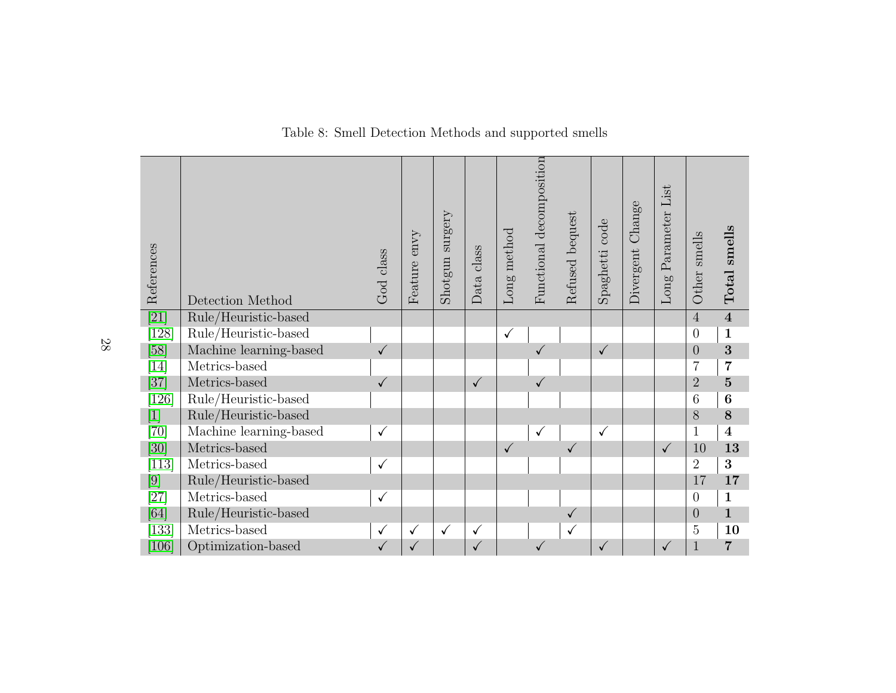| References                                                                                                                                                                                                                                                                                                                                                                                               | Detection Method       | God class    | envy<br>Feature | surgery<br>Shotgun | Data class   | method<br>Long 1 | decomposition<br>Functional | bequest<br>Refused | code<br>Spaghetti | Change<br>Divergent | Parameter List<br>Long | smells<br>Other | smells<br>Total         |
|----------------------------------------------------------------------------------------------------------------------------------------------------------------------------------------------------------------------------------------------------------------------------------------------------------------------------------------------------------------------------------------------------------|------------------------|--------------|-----------------|--------------------|--------------|------------------|-----------------------------|--------------------|-------------------|---------------------|------------------------|-----------------|-------------------------|
| $\overline{[21]}$                                                                                                                                                                                                                                                                                                                                                                                        | Rule/Heuristic-based   |              |                 |                    |              |                  |                             |                    |                   |                     |                        | $\overline{4}$  | $\overline{\mathbf{4}}$ |
| $[128]$                                                                                                                                                                                                                                                                                                                                                                                                  | Rule/Heuristic-based   |              |                 |                    |              | $\checkmark$     |                             |                    |                   |                     |                        | $\overline{0}$  | $\mathbf{1}$            |
| $[58]$                                                                                                                                                                                                                                                                                                                                                                                                   | Machine learning-based | $\checkmark$ |                 |                    |              |                  | $\checkmark$                |                    | $\checkmark$      |                     |                        | $\overline{0}$  | 3                       |
| [14]                                                                                                                                                                                                                                                                                                                                                                                                     | Metrics-based          |              |                 |                    |              |                  |                             |                    |                   |                     |                        | $\overline{7}$  | $\overline{7}$          |
| $[37]$                                                                                                                                                                                                                                                                                                                                                                                                   | Metrics-based          | $\checkmark$ |                 |                    | $\checkmark$ |                  | $\checkmark$                |                    |                   |                     |                        | $\overline{2}$  | $\mathbf{5}$            |
| $[126]$                                                                                                                                                                                                                                                                                                                                                                                                  | Rule/Heuristic-based   |              |                 |                    |              |                  |                             |                    |                   |                     |                        | 6               | $\bf{6}$                |
| $[1]$                                                                                                                                                                                                                                                                                                                                                                                                    | Rule/Heuristic-based   |              |                 |                    |              |                  |                             |                    |                   |                     |                        | 8               | 8                       |
| $[70]$                                                                                                                                                                                                                                                                                                                                                                                                   | Machine learning-based | $\checkmark$ |                 |                    |              |                  | $\checkmark$                |                    | $\checkmark$      |                     |                        | $\mathbf{1}$    | $\overline{\mathbf{4}}$ |
| $[30]$                                                                                                                                                                                                                                                                                                                                                                                                   | Metrics-based          |              |                 |                    |              | $\checkmark$     |                             | $\checkmark$       |                   |                     | $\checkmark$           | 10              | 13                      |
| $[113]$                                                                                                                                                                                                                                                                                                                                                                                                  | Metrics-based          | $\checkmark$ |                 |                    |              |                  |                             |                    |                   |                     |                        | $\overline{2}$  | 3                       |
| $[9] % \begin{center} \includegraphics[width=\textwidth]{figures/fig_00.pdf} \end{center} % \vspace*{-1em} \caption{The figure shows the \textit{Stab} model. The \textit{Stab} model is used to be used for the \textit{Stab} model. The \textit{Stab} model is used to be used for the \textit{Stab} model. The \textit{Stab} model is used to be used for the \textit{Stab} model.} \label{fig:Stab}$ | Rule/Heuristic-based   |              |                 |                    |              |                  |                             |                    |                   |                     |                        | 17              | 17                      |
| $[27]$                                                                                                                                                                                                                                                                                                                                                                                                   | Metrics-based          | $\checkmark$ |                 |                    |              |                  |                             |                    |                   |                     |                        | $\overline{0}$  | $\mathbf{1}$            |
| [64]                                                                                                                                                                                                                                                                                                                                                                                                     | Rule/Heuristic-based   |              |                 |                    |              |                  |                             | $\checkmark$       |                   |                     |                        | $\overline{0}$  | $\mathbf{1}$            |
| $[133]$                                                                                                                                                                                                                                                                                                                                                                                                  | Metrics-based          | $\checkmark$ | ✓               | $\checkmark$       |              |                  |                             |                    |                   |                     |                        | 5               | 10                      |
| $[106]$                                                                                                                                                                                                                                                                                                                                                                                                  | Optimization-based     | $\checkmark$ | $\sqrt{2}$      |                    | ✓            |                  | $\checkmark$                |                    | $\checkmark$      |                     | $\checkmark$           | $\mathbf{1}$    | $\overline{7}$          |

Table 8: Smell Detection Methods and supported smells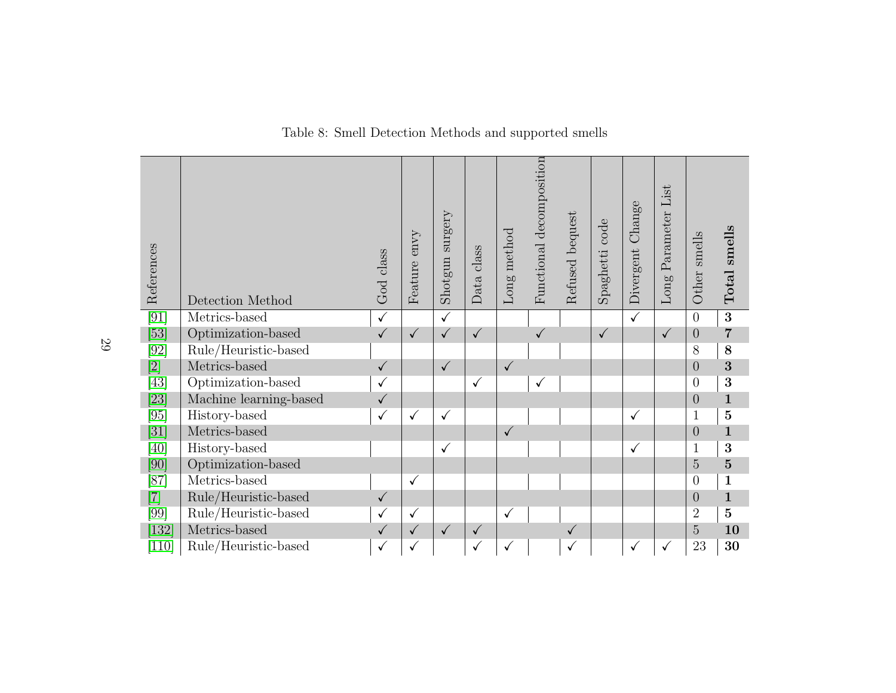| References                                                                                                                                                                                                                                                                                                                              | Detection Method       | God class    | envy<br>Feature | surgery<br>Shotgun | Data class   | method<br>Long | decomposition<br>Functional | bequest<br>Refused | code<br>Spaghetti | Change<br>Divergent | Parameter List<br>Long | smells<br>Other | smells<br>Total |
|-----------------------------------------------------------------------------------------------------------------------------------------------------------------------------------------------------------------------------------------------------------------------------------------------------------------------------------------|------------------------|--------------|-----------------|--------------------|--------------|----------------|-----------------------------|--------------------|-------------------|---------------------|------------------------|-----------------|-----------------|
| $\overline{[91]}$                                                                                                                                                                                                                                                                                                                       | Metrics-based          | $\checkmark$ |                 | $\checkmark$       |              |                |                             |                    |                   | $\checkmark$        |                        | $\overline{0}$  | $\overline{3}$  |
| $[53]$                                                                                                                                                                                                                                                                                                                                  | Optimization-based     | $\checkmark$ | $\checkmark$    | $\checkmark$       | $\checkmark$ |                | $\checkmark$                |                    | $\checkmark$      |                     | $\checkmark$           | $\overline{0}$  | $\overline{7}$  |
| [92]                                                                                                                                                                                                                                                                                                                                    | Rule/Heuristic-based   |              |                 |                    |              |                |                             |                    |                   |                     |                        | 8               | 8               |
| $[2] % \begin{center} \includegraphics[width=\linewidth]{imagesSupplemental/Imers.png} \end{center} % \vspace*{-1em} \caption{The image shows the number of parameters of the estimators in the image. The left is the number of times, and the right is the number of times, and the right is the number of times.} \label{fig:lim} %$ | Metrics-based          | $\checkmark$ |                 | $\checkmark$       |              | $\checkmark$   |                             |                    |                   |                     |                        | $\theta$        | 3               |
| [43]                                                                                                                                                                                                                                                                                                                                    | Optimization-based     | $\checkmark$ |                 |                    | $\checkmark$ |                | $\checkmark$                |                    |                   |                     |                        | $\theta$        | 3               |
| $[23]$                                                                                                                                                                                                                                                                                                                                  | Machine learning-based | $\checkmark$ |                 |                    |              |                |                             |                    |                   |                     |                        | $\overline{0}$  | $\mathbf 1$     |
| [95]                                                                                                                                                                                                                                                                                                                                    | History-based          | $\checkmark$ | $\checkmark$    | $\checkmark$       |              |                |                             |                    |                   | $\checkmark$        |                        | $\mathbf{1}$    | $\overline{5}$  |
| $[31]$                                                                                                                                                                                                                                                                                                                                  | Metrics-based          |              |                 |                    |              | $\checkmark$   |                             |                    |                   |                     |                        | $\overline{0}$  | $\mathbf{1}$    |
| [40]                                                                                                                                                                                                                                                                                                                                    | History-based          |              |                 | $\checkmark$       |              |                |                             |                    |                   | $\checkmark$        |                        | $\mathbf{1}$    | 3               |
| [90]                                                                                                                                                                                                                                                                                                                                    | Optimization-based     |              |                 |                    |              |                |                             |                    |                   |                     |                        | $\overline{5}$  | $\overline{5}$  |
| [87]                                                                                                                                                                                                                                                                                                                                    | Metrics-based          |              | $\checkmark$    |                    |              |                |                             |                    |                   |                     |                        | $\overline{0}$  | $\mathbf{1}$    |
| $[7] \centering% \includegraphics[width=1.0\textwidth]{images/TrDiC-Architecture.png} \caption{The 3D (top) and the 4D (bottom) of the 3D (bottom) and the 4D (bottom) of the 3D (bottom) and the 4D (bottom) of the 3D (bottom) and the 4D (bottom) of the 3D (bottom).} \label{TrDiC-Architecture}$                                   | Rule/Heuristic-based   | $\checkmark$ |                 |                    |              |                |                             |                    |                   |                     |                        | $\overline{0}$  | $\mathbf 1$     |
| $\left[99\right]$                                                                                                                                                                                                                                                                                                                       | Rule/Heuristic-based   | $\checkmark$ | $\checkmark$    |                    |              | $\checkmark$   |                             |                    |                   |                     |                        | $\overline{2}$  | $\overline{5}$  |
| $[132]$                                                                                                                                                                                                                                                                                                                                 | Metrics-based          | $\checkmark$ | $\checkmark$    | $\checkmark$       | ✓            |                |                             | $\checkmark$       |                   |                     |                        | $\overline{5}$  | 10              |
| [110]                                                                                                                                                                                                                                                                                                                                   | Rule/Heuristic-based   | $\checkmark$ | ✓               |                    | ✓            |                |                             |                    |                   | ✓                   | √                      | 23              | 30              |

Table 8: Smell Detection Methods and supported smells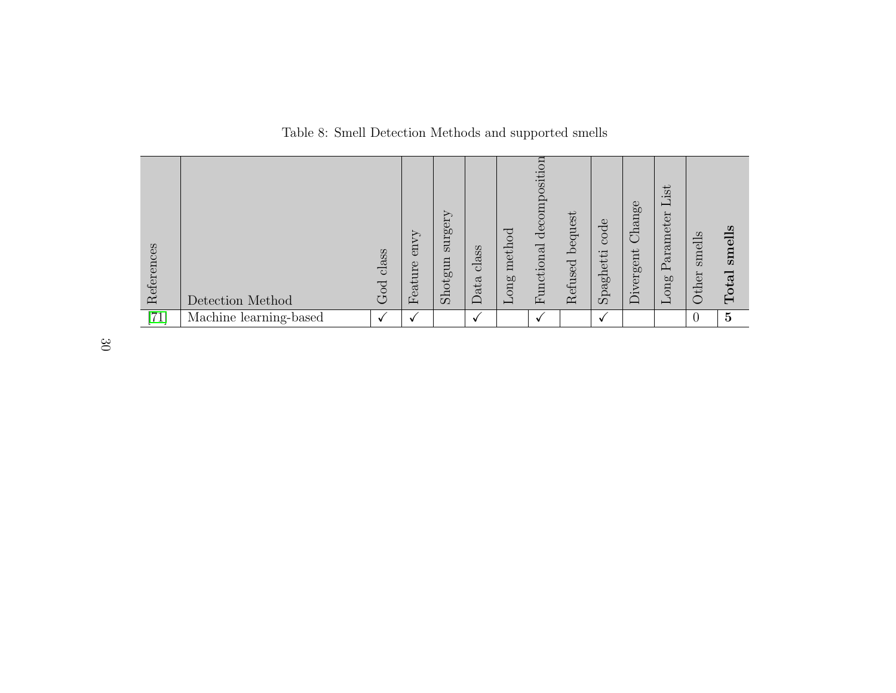| References | Detection Method       | class<br>God | env<br>$\circ$<br>Feature | gery<br>$\sup$<br>gun<br>Shot <sub>i</sub> | ass<br>ರ<br>ata<br>$\tilde{\Box}$ | meth<br>60<br>$\Xi$<br>$\overline{\phantom{0}}$ | $\sin$<br>$\cdot$ $-$<br>$\overline{\phantom{0}}$<br>$\overline{\text{CS}}$<br>ecomp<br>ರ<br>ನ<br><b>OII</b><br>$\cdot$ $-$<br>$\ddot{\mathrm{c}}$<br>₫<br>旵 | quest<br>Ō<br>$\sim$<br>F<br>efus<br>Ř | $\circ$<br>ह<br>etti<br>$\overline{5}$<br>ದ<br>$\overline{\text{g}}$ | Change<br>gent<br>ver<br>$\ddot{\square}$ | List<br>Parameter<br>Long | smells<br>Other | smells<br>$\rm Total$ |
|------------|------------------------|--------------|---------------------------|--------------------------------------------|-----------------------------------|-------------------------------------------------|--------------------------------------------------------------------------------------------------------------------------------------------------------------|----------------------------------------|----------------------------------------------------------------------|-------------------------------------------|---------------------------|-----------------|-----------------------|
| "71"       | Machine learning-based |              |                           |                                            |                                   |                                                 | $\cdot$                                                                                                                                                      |                                        | $\cdot$                                                              |                                           |                           | 0               | $5\overline{)}$       |

Table 8: Smell Detection Methods and supported smells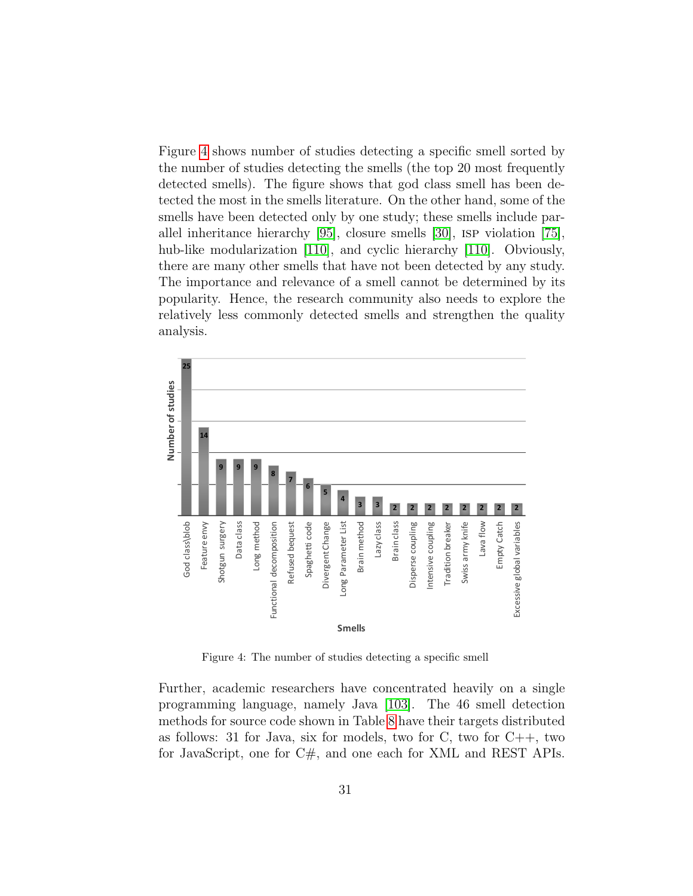Figure [4](#page-30-0) shows number of studies detecting a specific smell sorted by the number of studies detecting the smells (the top 20 most frequently detected smells). The figure shows that god class smell has been detected the most in the smells literature. On the other hand, some of the smells have been detected only by one study; these smells include parallel inheritance hierarchy [\[95\]](#page-45-4), closure smells [\[30\]](#page-37-5), isp violation [\[75\]](#page-42-4), hub-like modularization [\[110\]](#page-47-8), and cyclic hierarchy [110]. Obviously, there are many other smells that have not been detected by any study. The importance and relevance of a smell cannot be determined by its popularity. Hence, the research community also needs to explore the relatively less commonly detected smells and strengthen the quality analysis.



<span id="page-30-0"></span>Figure 4: The number of studies detecting a specific smell

Further, academic researchers have concentrated heavily on a single programming language, namely Java [\[103\]](#page-46-1). The 46 smell detection methods for source code shown in Table [8](#page-26-0) have their targets distributed as follows: 31 for Java, six for models, two for  $C$ , two for  $C_{++}$ , two for JavaScript, one for C#, and one each for XML and REST APIs.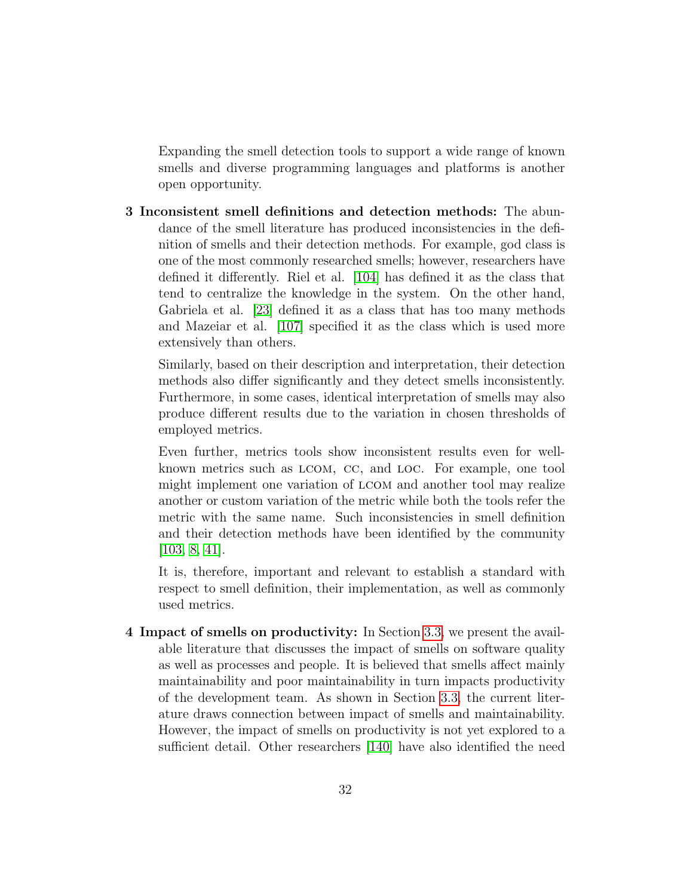Expanding the smell detection tools to support a wide range of known smells and diverse programming languages and platforms is another open opportunity.

3 Inconsistent smell definitions and detection methods: The abundance of the smell literature has produced inconsistencies in the definition of smells and their detection methods. For example, god class is one of the most commonly researched smells; however, researchers have defined it differently. Riel et al. [\[104\]](#page-46-4) has defined it as the class that tend to centralize the knowledge in the system. On the other hand, Gabriela et al. [\[23\]](#page-36-5) defined it as a class that has too many methods and Mazeiar et al. [\[107\]](#page-46-6) specified it as the class which is used more extensively than others.

Similarly, based on their description and interpretation, their detection methods also differ significantly and they detect smells inconsistently. Furthermore, in some cases, identical interpretation of smells may also produce different results due to the variation in chosen thresholds of employed metrics.

Even further, metrics tools show inconsistent results even for wellknown metrics such as lcom, cc, and loc. For example, one tool might implement one variation of lcom and another tool may realize another or custom variation of the metric while both the tools refer the metric with the same name. Such inconsistencies in smell definition and their detection methods have been identified by the community  $[103, 8, 41]$  $[103, 8, 41]$  $[103, 8, 41]$ .

It is, therefore, important and relevant to establish a standard with respect to smell definition, their implementation, as well as commonly used metrics.

4 Impact of smells on productivity: In Section [3.3,](#page-16-1) we present the available literature that discusses the impact of smells on software quality as well as processes and people. It is believed that smells affect mainly maintainability and poor maintainability in turn impacts productivity of the development team. As shown in Section [3.3,](#page-16-1) the current literature draws connection between impact of smells and maintainability. However, the impact of smells on productivity is not yet explored to a sufficient detail. Other researchers [\[140\]](#page-50-0) have also identified the need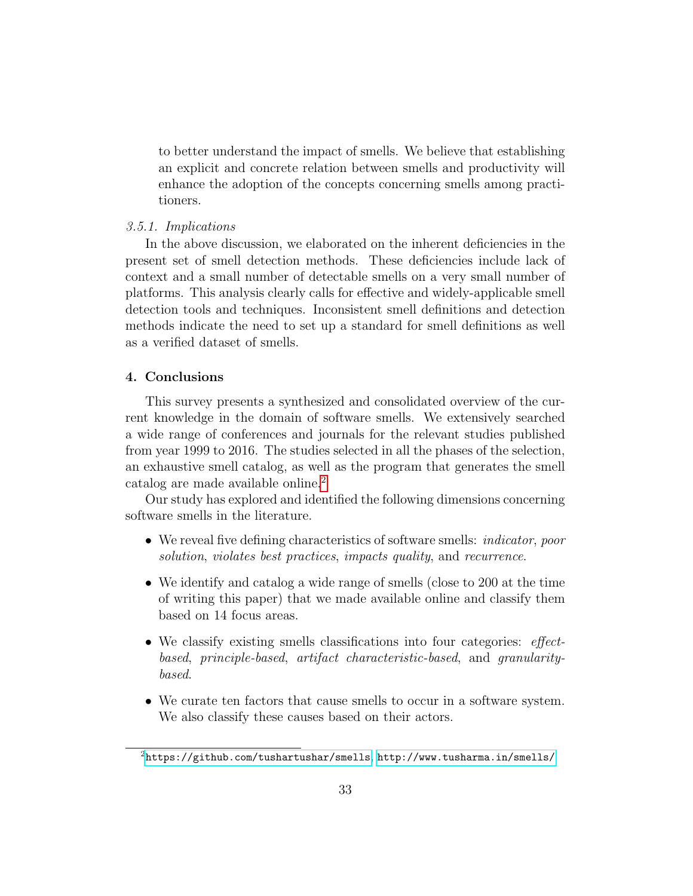to better understand the impact of smells. We believe that establishing an explicit and concrete relation between smells and productivity will enhance the adoption of the concepts concerning smells among practitioners.

### 3.5.1. Implications

In the above discussion, we elaborated on the inherent deficiencies in the present set of smell detection methods. These deficiencies include lack of context and a small number of detectable smells on a very small number of platforms. This analysis clearly calls for effective and widely-applicable smell detection tools and techniques. Inconsistent smell definitions and detection methods indicate the need to set up a standard for smell definitions as well as a verified dataset of smells.

## <span id="page-32-0"></span>4. Conclusions

This survey presents a synthesized and consolidated overview of the current knowledge in the domain of software smells. We extensively searched a wide range of conferences and journals for the relevant studies published from year 1999 to 2016. The studies selected in all the phases of the selection, an exhaustive smell catalog, as well as the program that generates the smell catalog are made available online.[2](#page-32-1)

Our study has explored and identified the following dimensions concerning software smells in the literature.

- We reveal five defining characteristics of software smells: *indicator*, *poor* solution, violates best practices, impacts quality, and recurrence.
- We identify and catalog a wide range of smells (close to 200 at the time of writing this paper) that we made available online and classify them based on 14 focus areas.
- We classify existing smells classifications into four categories: *effect*based, principle-based, artifact characteristic-based, and granularitybased.
- We curate ten factors that cause smells to occur in a software system. We also classify these causes based on their actors.

<span id="page-32-1"></span> $2$ <https://github.com/tushartushar/smells>, <http://www.tusharma.in/smells/>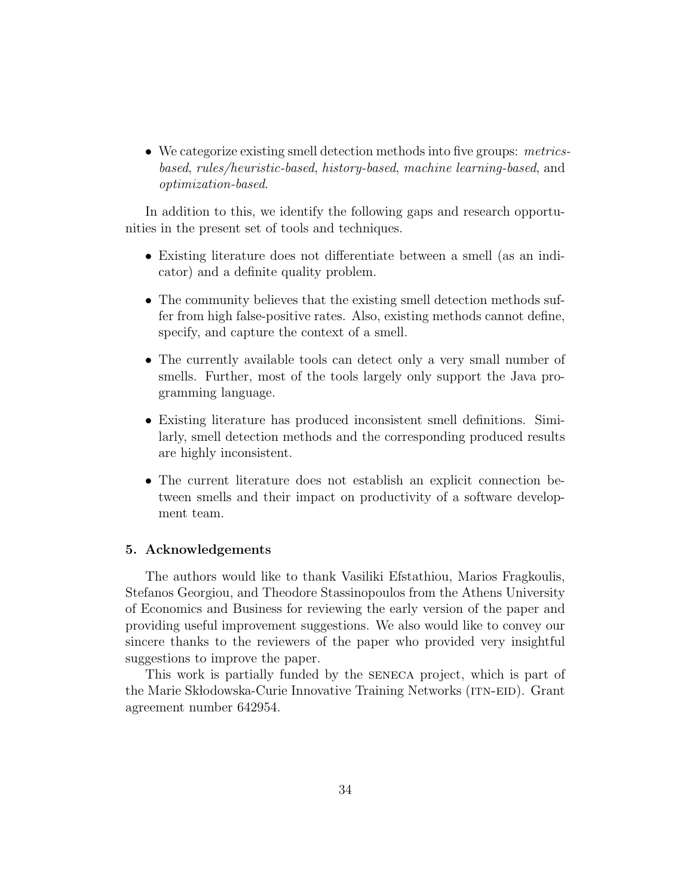• We categorize existing smell detection methods into five groups: *metrics*based, rules/heuristic-based, history-based, machine learning-based, and optimization-based.

In addition to this, we identify the following gaps and research opportunities in the present set of tools and techniques.

- Existing literature does not differentiate between a smell (as an indicator) and a definite quality problem.
- The community believes that the existing smell detection methods suffer from high false-positive rates. Also, existing methods cannot define, specify, and capture the context of a smell.
- The currently available tools can detect only a very small number of smells. Further, most of the tools largely only support the Java programming language.
- Existing literature has produced inconsistent smell definitions. Similarly, smell detection methods and the corresponding produced results are highly inconsistent.
- The current literature does not establish an explicit connection between smells and their impact on productivity of a software development team.

## 5. Acknowledgements

The authors would like to thank Vasiliki Efstathiou, Marios Fragkoulis, Stefanos Georgiou, and Theodore Stassinopoulos from the Athens University of Economics and Business for reviewing the early version of the paper and providing useful improvement suggestions. We also would like to convey our sincere thanks to the reviewers of the paper who provided very insightful suggestions to improve the paper.

This work is partially funded by the seneca project, which is part of the Marie Skłodowska-Curie Innovative Training Networks (ITN-EID). Grant agreement number 642954.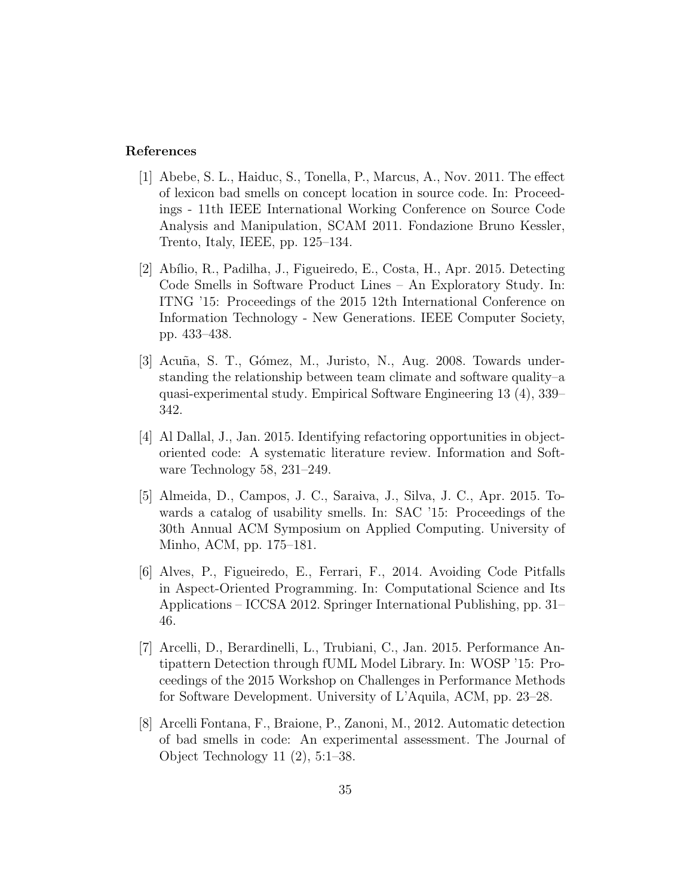# References

- <span id="page-34-9"></span><span id="page-34-8"></span><span id="page-34-7"></span><span id="page-34-1"></span>[1] Abebe, S. L., Haiduc, S., Tonella, P., Marcus, A., Nov. 2011. The effect of lexicon bad smells on concept location in source code. In: Proceedings - 11th IEEE International Working Conference on Source Code Analysis and Manipulation, SCAM 2011. Fondazione Bruno Kessler, Trento, Italy, IEEE, pp. 125–134.
- <span id="page-34-5"></span>[2] Abílio, R., Padilha, J., Figueiredo, E., Costa, H., Apr. 2015. Detecting Code Smells in Software Product Lines – An Exploratory Study. In: ITNG '15: Proceedings of the 2015 12th International Conference on Information Technology - New Generations. IEEE Computer Society, pp. 433–438.
- <span id="page-34-4"></span>[3] Acuña, S. T., Gómez, M., Juristo, N., Aug. 2008. Towards understanding the relationship between team climate and software quality–a quasi-experimental study. Empirical Software Engineering 13 (4), 339– 342.
- <span id="page-34-0"></span>[4] Al Dallal, J., Jan. 2015. Identifying refactoring opportunities in objectoriented code: A systematic literature review. Information and Software Technology 58, 231–249.
- <span id="page-34-3"></span>[5] Almeida, D., Campos, J. C., Saraiva, J., Silva, J. C., Apr. 2015. Towards a catalog of usability smells. In: SAC '15: Proceedings of the 30th Annual ACM Symposium on Applied Computing. University of Minho, ACM, pp. 175–181.
- <span id="page-34-2"></span>[6] Alves, P., Figueiredo, E., Ferrari, F., 2014. Avoiding Code Pitfalls in Aspect-Oriented Programming. In: Computational Science and Its Applications – ICCSA 2012. Springer International Publishing, pp. 31– 46.
- <span id="page-34-6"></span>[7] Arcelli, D., Berardinelli, L., Trubiani, C., Jan. 2015. Performance Antipattern Detection through fUML Model Library. In: WOSP '15: Proceedings of the 2015 Workshop on Challenges in Performance Methods for Software Development. University of L'Aquila, ACM, pp. 23–28.
- <span id="page-34-10"></span>[8] Arcelli Fontana, F., Braione, P., Zanoni, M., 2012. Automatic detection of bad smells in code: An experimental assessment. The Journal of Object Technology 11 (2), 5:1–38.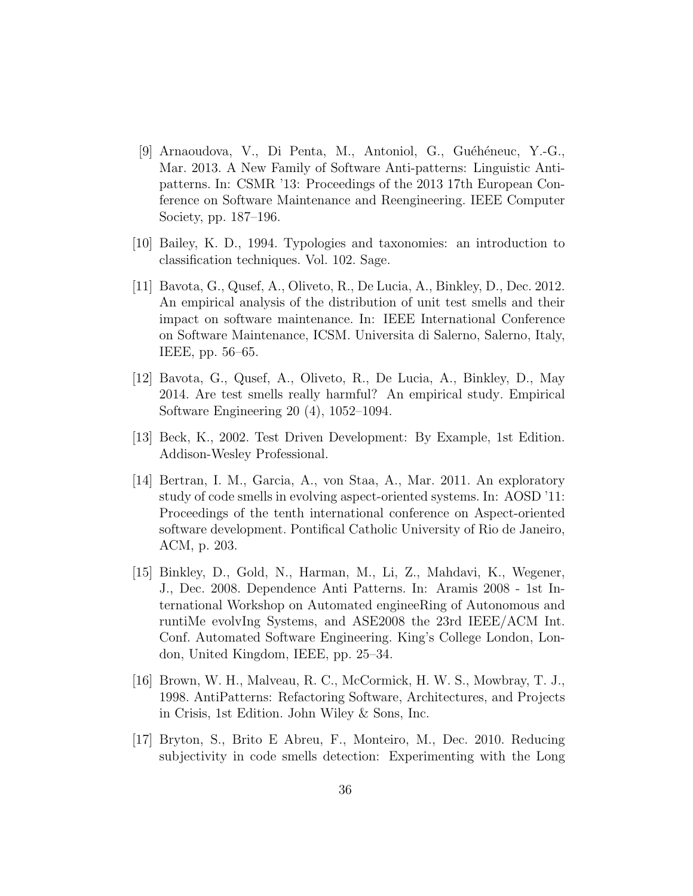- <span id="page-35-11"></span><span id="page-35-10"></span><span id="page-35-9"></span><span id="page-35-0"></span>[9] Arnaoudova, V., Di Penta, M., Antoniol, G., Guéhéneuc, Y.-G., Mar. 2013. A New Family of Software Anti-patterns: Linguistic Antipatterns. In: CSMR '13: Proceedings of the 2013 17th European Conference on Software Maintenance and Reengineering. IEEE Computer Society, pp. 187–196.
- <span id="page-35-4"></span>[10] Bailey, K. D., 1994. Typologies and taxonomies: an introduction to classification techniques. Vol. 102. Sage.
- <span id="page-35-6"></span>[11] Bavota, G., Qusef, A., Oliveto, R., De Lucia, A., Binkley, D., Dec. 2012. An empirical analysis of the distribution of unit test smells and their impact on software maintenance. In: IEEE International Conference on Software Maintenance, ICSM. Universita di Salerno, Salerno, Italy, IEEE, pp. 56–65.
- <span id="page-35-7"></span>[12] Bavota, G., Qusef, A., Oliveto, R., De Lucia, A., Binkley, D., May 2014. Are test smells really harmful? An empirical study. Empirical Software Engineering 20 (4), 1052–1094.
- <span id="page-35-5"></span>[13] Beck, K., 2002. Test Driven Development: By Example, 1st Edition. Addison-Wesley Professional.
- <span id="page-35-3"></span>[14] Bertran, I. M., Garcia, A., von Staa, A., Mar. 2011. An exploratory study of code smells in evolving aspect-oriented systems. In: AOSD '11: Proceedings of the tenth international conference on Aspect-oriented software development. Pontifical Catholic University of Rio de Janeiro, ACM, p. 203.
- <span id="page-35-2"></span>[15] Binkley, D., Gold, N., Harman, M., Li, Z., Mahdavi, K., Wegener, J., Dec. 2008. Dependence Anti Patterns. In: Aramis 2008 - 1st International Workshop on Automated engineeRing of Autonomous and runtiMe evolvIng Systems, and ASE2008 the 23rd IEEE/ACM Int. Conf. Automated Software Engineering. King's College London, London, United Kingdom, IEEE, pp. 25–34.
- <span id="page-35-1"></span>[16] Brown, W. H., Malveau, R. C., McCormick, H. W. S., Mowbray, T. J., 1998. AntiPatterns: Refactoring Software, Architectures, and Projects in Crisis, 1st Edition. John Wiley & Sons, Inc.
- <span id="page-35-8"></span>[17] Bryton, S., Brito E Abreu, F., Monteiro, M., Dec. 2010. Reducing subjectivity in code smells detection: Experimenting with the Long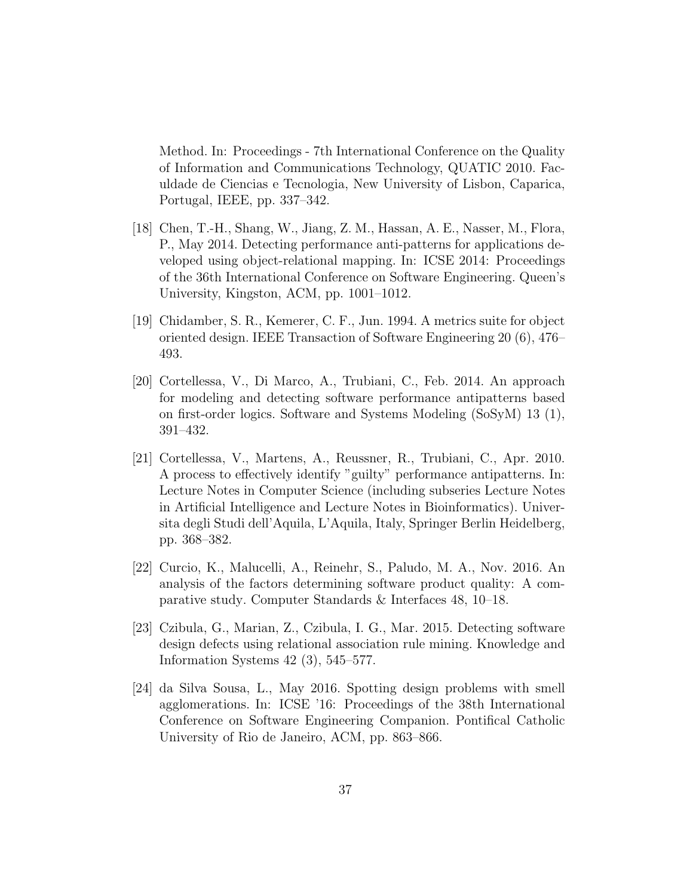<span id="page-36-8"></span><span id="page-36-7"></span>Method. In: Proceedings - 7th International Conference on the Quality of Information and Communications Technology, QUATIC 2010. Faculdade de Ciencias e Tecnologia, New University of Lisbon, Caparica, Portugal, IEEE, pp. 337–342.

- <span id="page-36-3"></span>[18] Chen, T.-H., Shang, W., Jiang, Z. M., Hassan, A. E., Nasser, M., Flora, P., May 2014. Detecting performance anti-patterns for applications developed using object-relational mapping. In: ICSE 2014: Proceedings of the 36th International Conference on Software Engineering. Queen's University, Kingston, ACM, pp. 1001–1012.
- <span id="page-36-4"></span>[19] Chidamber, S. R., Kemerer, C. F., Jun. 1994. A metrics suite for object oriented design. IEEE Transaction of Software Engineering 20 (6), 476– 493.
- <span id="page-36-1"></span>[20] Cortellessa, V., Di Marco, A., Trubiani, C., Feb. 2014. An approach for modeling and detecting software performance antipatterns based on first-order logics. Software and Systems Modeling (SoSyM) 13 (1), 391–432.
- <span id="page-36-6"></span>[21] Cortellessa, V., Martens, A., Reussner, R., Trubiani, C., Apr. 2010. A process to effectively identify "guilty" performance antipatterns. In: Lecture Notes in Computer Science (including subseries Lecture Notes in Artificial Intelligence and Lecture Notes in Bioinformatics). Universita degli Studi dell'Aquila, L'Aquila, Italy, Springer Berlin Heidelberg, pp. 368–382.
- <span id="page-36-2"></span>[22] Curcio, K., Malucelli, A., Reinehr, S., Paludo, M. A., Nov. 2016. An analysis of the factors determining software product quality: A comparative study. Computer Standards & Interfaces 48, 10–18.
- <span id="page-36-5"></span>[23] Czibula, G., Marian, Z., Czibula, I. G., Mar. 2015. Detecting software design defects using relational association rule mining. Knowledge and Information Systems 42 (3), 545–577.
- <span id="page-36-0"></span>[24] da Silva Sousa, L., May 2016. Spotting design problems with smell agglomerations. In: ICSE '16: Proceedings of the 38th International Conference on Software Engineering Companion. Pontifical Catholic University of Rio de Janeiro, ACM, pp. 863–866.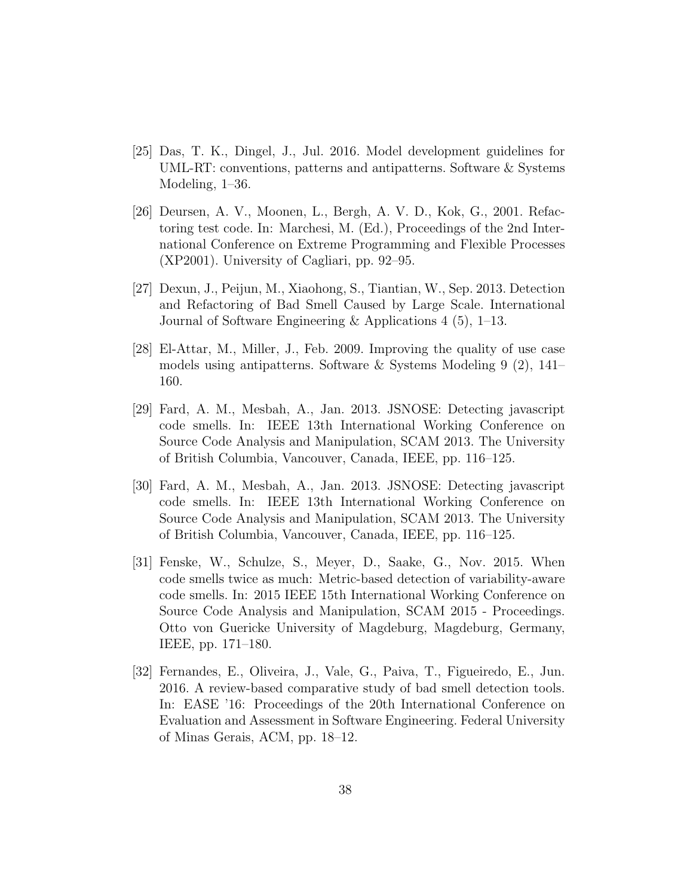- <span id="page-37-11"></span><span id="page-37-10"></span><span id="page-37-9"></span><span id="page-37-8"></span><span id="page-37-4"></span>[25] Das, T. K., Dingel, J., Jul. 2016. Model development guidelines for UML-RT: conventions, patterns and antipatterns. Software & Systems Modeling, 1–36.
- <span id="page-37-0"></span>[26] Deursen, A. V., Moonen, L., Bergh, A. V. D., Kok, G., 2001. Refactoring test code. In: Marchesi, M. (Ed.), Proceedings of the 2nd International Conference on Extreme Programming and Flexible Processes (XP2001). University of Cagliari, pp. 92–95.
- <span id="page-37-6"></span>[27] Dexun, J., Peijun, M., Xiaohong, S., Tiantian, W., Sep. 2013. Detection and Refactoring of Bad Smell Caused by Large Scale. International Journal of Software Engineering & Applications 4 (5), 1–13.
- <span id="page-37-3"></span>[28] El-Attar, M., Miller, J., Feb. 2009. Improving the quality of use case models using antipatterns. Software & Systems Modeling 9 (2), 141– 160.
- <span id="page-37-2"></span>[29] Fard, A. M., Mesbah, A., Jan. 2013. JSNOSE: Detecting javascript code smells. In: IEEE 13th International Working Conference on Source Code Analysis and Manipulation, SCAM 2013. The University of British Columbia, Vancouver, Canada, IEEE, pp. 116–125.
- <span id="page-37-5"></span>[30] Fard, A. M., Mesbah, A., Jan. 2013. JSNOSE: Detecting javascript code smells. In: IEEE 13th International Working Conference on Source Code Analysis and Manipulation, SCAM 2013. The University of British Columbia, Vancouver, Canada, IEEE, pp. 116–125.
- <span id="page-37-7"></span>[31] Fenske, W., Schulze, S., Meyer, D., Saake, G., Nov. 2015. When code smells twice as much: Metric-based detection of variability-aware code smells. In: 2015 IEEE 15th International Working Conference on Source Code Analysis and Manipulation, SCAM 2015 - Proceedings. Otto von Guericke University of Magdeburg, Magdeburg, Germany, IEEE, pp. 171–180.
- <span id="page-37-1"></span>[32] Fernandes, E., Oliveira, J., Vale, G., Paiva, T., Figueiredo, E., Jun. 2016. A review-based comparative study of bad smell detection tools. In: EASE '16: Proceedings of the 20th International Conference on Evaluation and Assessment in Software Engineering. Federal University of Minas Gerais, ACM, pp. 18–12.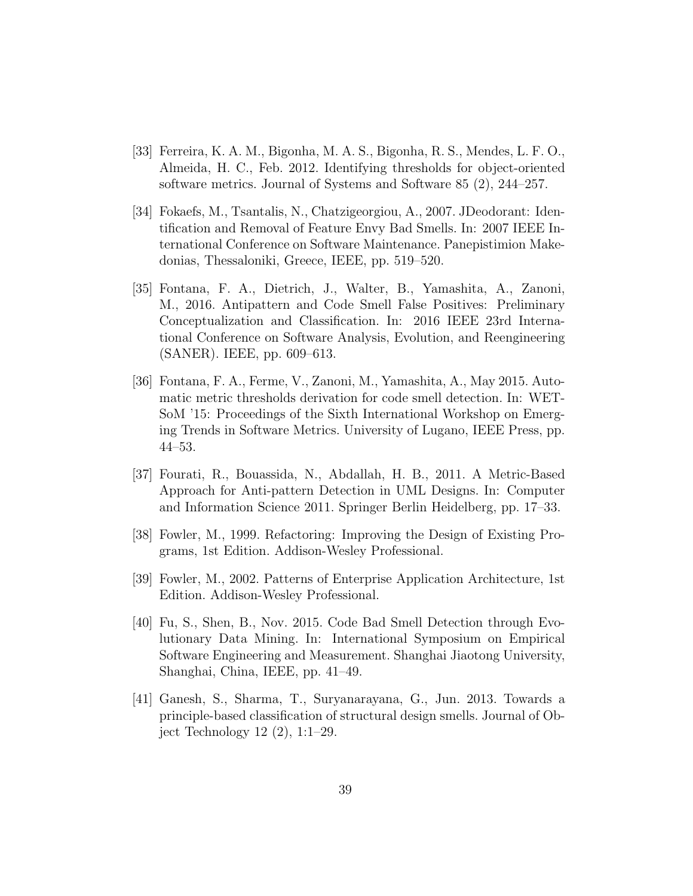- <span id="page-38-11"></span><span id="page-38-10"></span><span id="page-38-9"></span><span id="page-38-7"></span>[33] Ferreira, K. A. M., Bigonha, M. A. S., Bigonha, R. S., Mendes, L. F. O., Almeida, H. C., Feb. 2012. Identifying thresholds for object-oriented software metrics. Journal of Systems and Software 85 (2), 244–257.
- <span id="page-38-5"></span>[34] Fokaefs, M., Tsantalis, N., Chatzigeorgiou, A., 2007. JDeodorant: Identification and Removal of Feature Envy Bad Smells. In: 2007 IEEE International Conference on Software Maintenance. Panepistimion Makedonias, Thessaloniki, Greece, IEEE, pp. 519–520.
- <span id="page-38-3"></span>[35] Fontana, F. A., Dietrich, J., Walter, B., Yamashita, A., Zanoni, M., 2016. Antipattern and Code Smell False Positives: Preliminary Conceptualization and Classification. In: 2016 IEEE 23rd International Conference on Software Analysis, Evolution, and Reengineering (SANER). IEEE, pp. 609–613.
- <span id="page-38-6"></span>[36] Fontana, F. A., Ferme, V., Zanoni, M., Yamashita, A., May 2015. Automatic metric thresholds derivation for code smell detection. In: WET-SoM '15: Proceedings of the Sixth International Workshop on Emerging Trends in Software Metrics. University of Lugano, IEEE Press, pp. 44–53.
- <span id="page-38-1"></span>[37] Fourati, R., Bouassida, N., Abdallah, H. B., 2011. A Metric-Based Approach for Anti-pattern Detection in UML Designs. In: Computer and Information Science 2011. Springer Berlin Heidelberg, pp. 17–33.
- <span id="page-38-0"></span>[38] Fowler, M., 1999. Refactoring: Improving the Design of Existing Programs, 1st Edition. Addison-Wesley Professional.
- <span id="page-38-8"></span>[39] Fowler, M., 2002. Patterns of Enterprise Application Architecture, 1st Edition. Addison-Wesley Professional.
- <span id="page-38-4"></span>[40] Fu, S., Shen, B., Nov. 2015. Code Bad Smell Detection through Evolutionary Data Mining. In: International Symposium on Empirical Software Engineering and Measurement. Shanghai Jiaotong University, Shanghai, China, IEEE, pp. 41–49.
- <span id="page-38-2"></span>[41] Ganesh, S., Sharma, T., Suryanarayana, G., Jun. 2013. Towards a principle-based classification of structural design smells. Journal of Object Technology 12 (2), 1:1–29.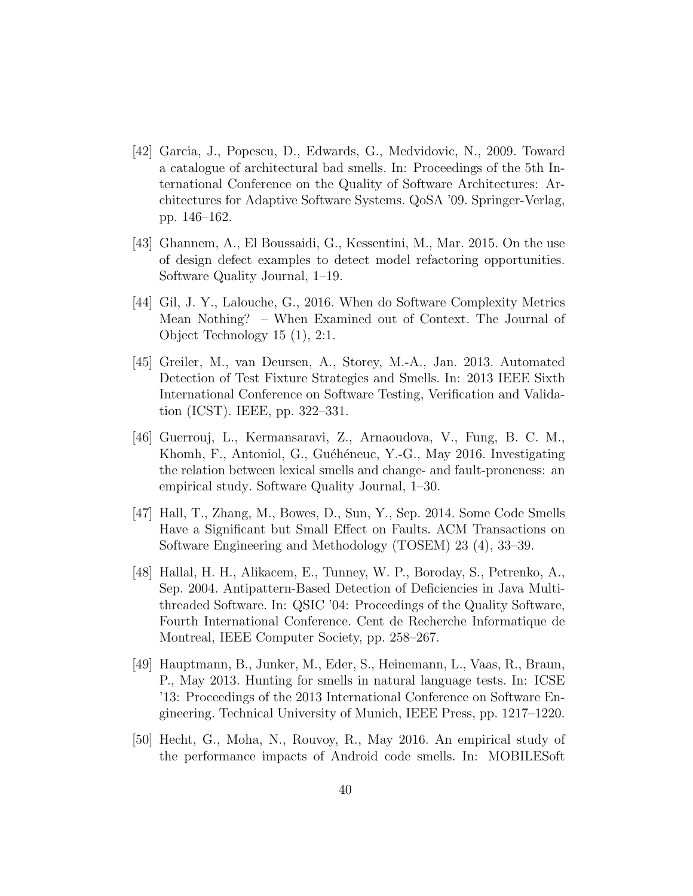- <span id="page-39-9"></span><span id="page-39-0"></span>[42] Garcia, J., Popescu, D., Edwards, G., Medvidovic, N., 2009. Toward a catalogue of architectural bad smells. In: Proceedings of the 5th International Conference on the Quality of Software Architectures: Architectures for Adaptive Software Systems. QoSA '09. Springer-Verlag, pp. 146–162.
- <span id="page-39-7"></span>[43] Ghannem, A., El Boussaidi, G., Kessentini, M., Mar. 2015. On the use of design defect examples to detect model refactoring opportunities. Software Quality Journal, 1–19.
- <span id="page-39-8"></span>[44] Gil, J. Y., Lalouche, G., 2016. When do Software Complexity Metrics Mean Nothing? – When Examined out of Context. The Journal of Object Technology 15 (1), 2:1.
- <span id="page-39-2"></span>[45] Greiler, M., van Deursen, A., Storey, M.-A., Jan. 2013. Automated Detection of Test Fixture Strategies and Smells. In: 2013 IEEE Sixth International Conference on Software Testing, Verification and Validation (ICST). IEEE, pp. 322–331.
- <span id="page-39-1"></span>[46] Guerrouj, L., Kermansaravi, Z., Arnaoudova, V., Fung, B. C. M., Khomh, F., Antoniol, G., Guéhéneuc, Y.-G., May 2016. Investigating the relation between lexical smells and change- and fault-proneness: an empirical study. Software Quality Journal, 1–30.
- <span id="page-39-5"></span>[47] Hall, T., Zhang, M., Bowes, D., Sun, Y., Sep. 2014. Some Code Smells Have a Significant but Small Effect on Faults. ACM Transactions on Software Engineering and Methodology (TOSEM) 23 (4), 33–39.
- <span id="page-39-4"></span>[48] Hallal, H. H., Alikacem, E., Tunney, W. P., Boroday, S., Petrenko, A., Sep. 2004. Antipattern-Based Detection of Deficiencies in Java Multithreaded Software. In: QSIC '04: Proceedings of the Quality Software, Fourth International Conference. Cent de Recherche Informatique de Montreal, IEEE Computer Society, pp. 258–267.
- <span id="page-39-3"></span>[49] Hauptmann, B., Junker, M., Eder, S., Heinemann, L., Vaas, R., Braun, P., May 2013. Hunting for smells in natural language tests. In: ICSE '13: Proceedings of the 2013 International Conference on Software Engineering. Technical University of Munich, IEEE Press, pp. 1217–1220.
- <span id="page-39-6"></span>[50] Hecht, G., Moha, N., Rouvoy, R., May 2016. An empirical study of the performance impacts of Android code smells. In: MOBILESoft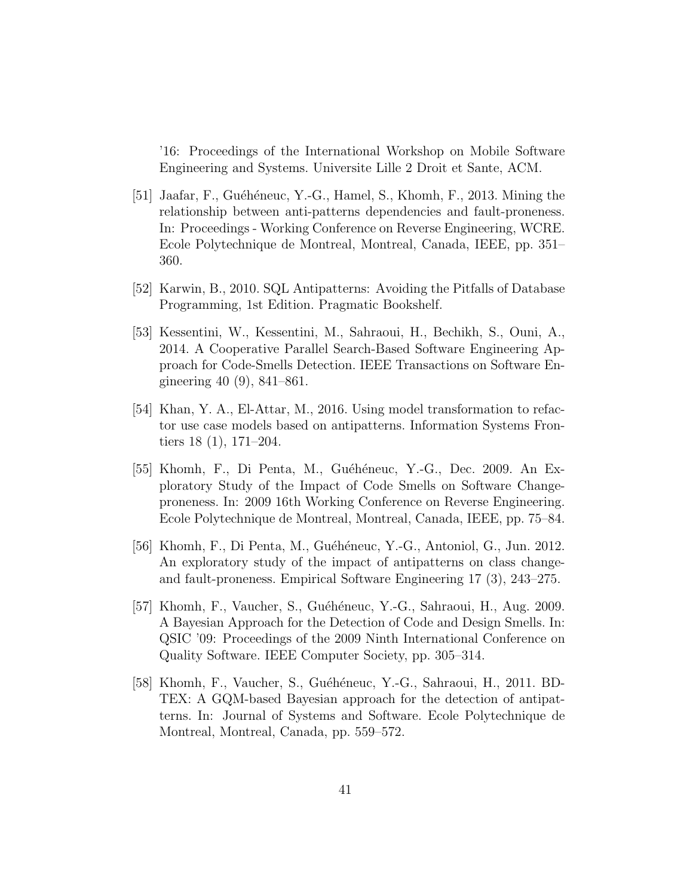<span id="page-40-10"></span><span id="page-40-9"></span><span id="page-40-8"></span>'16: Proceedings of the International Workshop on Mobile Software Engineering and Systems. Universite Lille 2 Droit et Sante, ACM.

- <span id="page-40-3"></span>[51] Jaafar, F., Guéhéneuc, Y.-G., Hamel, S., Khomh, F., 2013. Mining the relationship between anti-patterns dependencies and fault-proneness. In: Proceedings - Working Conference on Reverse Engineering, WCRE. Ecole Polytechnique de Montreal, Montreal, Canada, IEEE, pp. 351– 360.
- <span id="page-40-0"></span>[52] Karwin, B., 2010. SQL Antipatterns: Avoiding the Pitfalls of Database Programming, 1st Edition. Pragmatic Bookshelf.
- <span id="page-40-7"></span>[53] Kessentini, W., Kessentini, M., Sahraoui, H., Bechikh, S., Ouni, A., 2014. A Cooperative Parallel Search-Based Software Engineering Approach for Code-Smells Detection. IEEE Transactions on Software Engineering 40 (9), 841–861.
- <span id="page-40-2"></span>[54] Khan, Y. A., El-Attar, M., 2016. Using model transformation to refactor use case models based on antipatterns. Information Systems Frontiers 18 (1), 171–204.
- <span id="page-40-5"></span>[55] Khomh, F., Di Penta, M., Guéhéneuc, Y.-G., Dec. 2009. An Exploratory Study of the Impact of Code Smells on Software Changeproneness. In: 2009 16th Working Conference on Reverse Engineering. Ecole Polytechnique de Montreal, Montreal, Canada, IEEE, pp. 75–84.
- <span id="page-40-4"></span>[56] Khomh, F., Di Penta, M., Guéhéneuc, Y.-G., Antoniol, G., Jun. 2012. An exploratory study of the impact of antipatterns on class changeand fault-proneness. Empirical Software Engineering 17 (3), 243–275.
- <span id="page-40-6"></span>[57] Khomh, F., Vaucher, S., Guéhéneuc, Y.-G., Sahraoui, H., Aug. 2009. A Bayesian Approach for the Detection of Code and Design Smells. In: QSIC '09: Proceedings of the 2009 Ninth International Conference on Quality Software. IEEE Computer Society, pp. 305–314.
- <span id="page-40-1"></span>[58] Khomh, F., Vaucher, S., Guéhéneuc, Y.-G., Sahraoui, H., 2011. BD-TEX: A GQM-based Bayesian approach for the detection of antipatterns. In: Journal of Systems and Software. Ecole Polytechnique de Montreal, Montreal, Canada, pp. 559–572.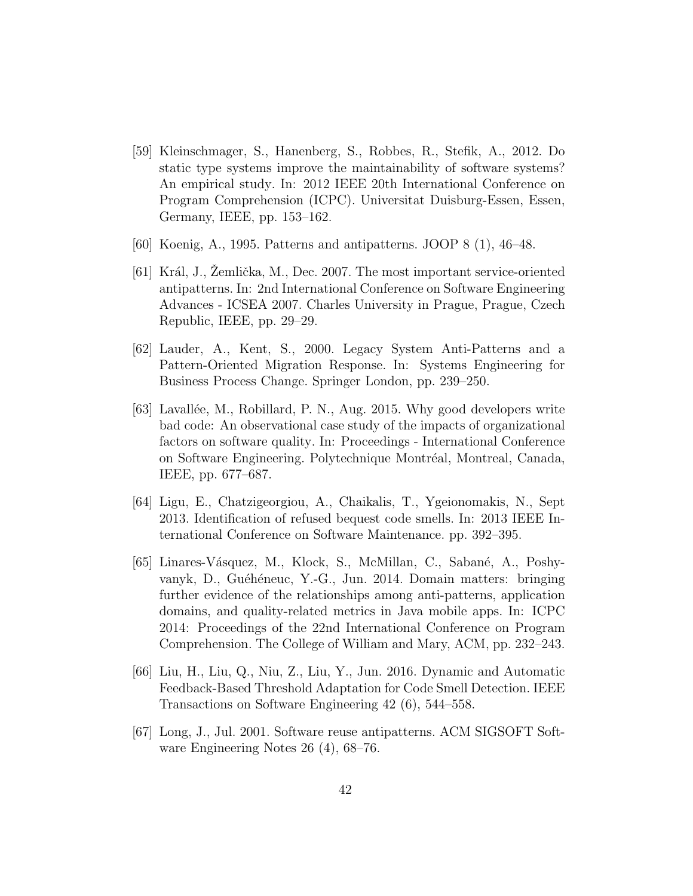- <span id="page-41-9"></span><span id="page-41-6"></span>[59] Kleinschmager, S., Hanenberg, S., Robbes, R., Stefik, A., 2012. Do static type systems improve the maintainability of software systems? An empirical study. In: 2012 IEEE 20th International Conference on Program Comprehension (ICPC). Universitat Duisburg-Essen, Essen, Germany, IEEE, pp. 153–162.
- <span id="page-41-4"></span>[60] Koenig, A., 1995. Patterns and antipatterns. JOOP 8 (1), 46–48.
- <span id="page-41-1"></span> $[61]$  Král, J., Zemlička, M., Dec. 2007. The most important service-oriented antipatterns. In: 2nd International Conference on Software Engineering Advances - ICSEA 2007. Charles University in Prague, Prague, Czech Republic, IEEE, pp. 29–29.
- <span id="page-41-0"></span>[62] Lauder, A., Kent, S., 2000. Legacy System Anti-Patterns and a Pattern-Oriented Migration Response. In: Systems Engineering for Business Process Change. Springer London, pp. 239–250.
- <span id="page-41-5"></span>[63] Lavallée, M., Robillard, P. N., Aug. 2015. Why good developers write bad code: An observational case study of the impacts of organizational factors on software quality. In: Proceedings - International Conference on Software Engineering. Polytechnique Montréal, Montreal, Canada, IEEE, pp. 677–687.
- <span id="page-41-7"></span>[64] Ligu, E., Chatzigeorgiou, A., Chaikalis, T., Ygeionomakis, N., Sept 2013. Identification of refused bequest code smells. In: 2013 IEEE International Conference on Software Maintenance. pp. 392–395.
- <span id="page-41-3"></span>[65] Linares-Vásquez, M., Klock, S., McMillan, C., Sabané, A., Poshyvanyk, D., Guéhéneuc, Y.-G., Jun. 2014. Domain matters: bringing further evidence of the relationships among anti-patterns, application domains, and quality-related metrics in Java mobile apps. In: ICPC 2014: Proceedings of the 22nd International Conference on Program Comprehension. The College of William and Mary, ACM, pp. 232–243.
- <span id="page-41-8"></span>[66] Liu, H., Liu, Q., Niu, Z., Liu, Y., Jun. 2016. Dynamic and Automatic Feedback-Based Threshold Adaptation for Code Smell Detection. IEEE Transactions on Software Engineering 42 (6), 544–558.
- <span id="page-41-2"></span>[67] Long, J., Jul. 2001. Software reuse antipatterns. ACM SIGSOFT Software Engineering Notes 26 (4), 68–76.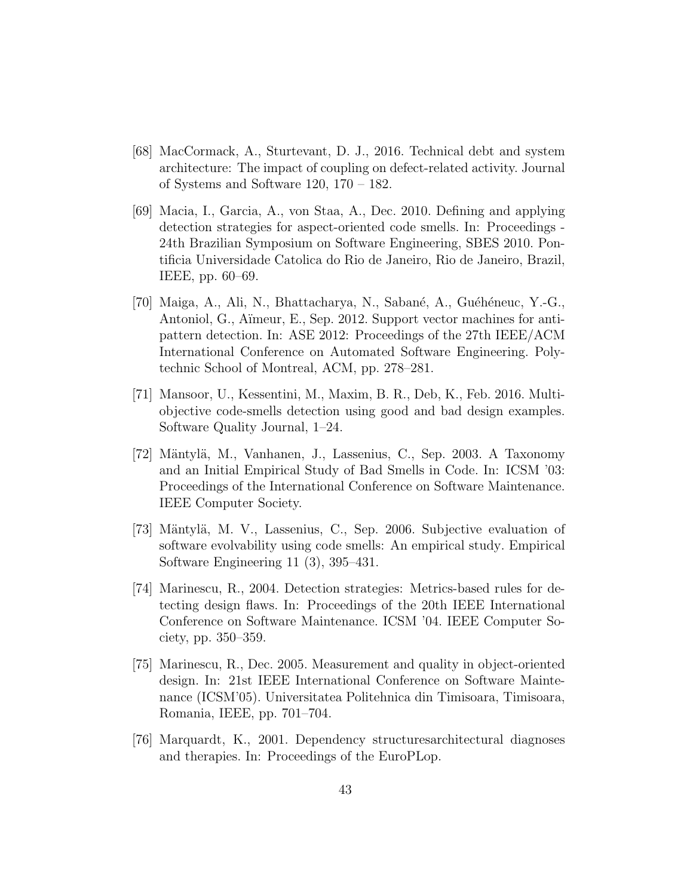- <span id="page-42-12"></span><span id="page-42-11"></span><span id="page-42-10"></span><span id="page-42-9"></span><span id="page-42-3"></span>[68] MacCormack, A., Sturtevant, D. J., 2016. Technical debt and system architecture: The impact of coupling on defect-related activity. Journal of Systems and Software 120, 170 – 182.
- <span id="page-42-6"></span>[69] Macia, I., Garcia, A., von Staa, A., Dec. 2010. Defining and applying detection strategies for aspect-oriented code smells. In: Proceedings - 24th Brazilian Symposium on Software Engineering, SBES 2010. Pontificia Universidade Catolica do Rio de Janeiro, Rio de Janeiro, Brazil, IEEE, pp. 60–69.
- <span id="page-42-0"></span>[70] Maiga, A., Ali, N., Bhattacharya, N., Sabané, A., Guéhéneuc, Y.-G., Antoniol, G., Aïmeur, E., Sep. 2012. Support vector machines for antipattern detection. In: ASE 2012: Proceedings of the 27th IEEE/ACM International Conference on Automated Software Engineering. Polytechnic School of Montreal, ACM, pp. 278–281.
- <span id="page-42-7"></span>[71] Mansoor, U., Kessentini, M., Maxim, B. R., Deb, K., Feb. 2016. Multiobjective code-smells detection using good and bad design examples. Software Quality Journal, 1–24.
- <span id="page-42-2"></span>[72] M¨antyl¨a, M., Vanhanen, J., Lassenius, C., Sep. 2003. A Taxonomy and an Initial Empirical Study of Bad Smells in Code. In: ICSM '03: Proceedings of the International Conference on Software Maintenance. IEEE Computer Society.
- <span id="page-42-8"></span>[73] Mäntylä, M. V., Lassenius, C., Sep. 2006. Subjective evaluation of software evolvability using code smells: An empirical study. Empirical Software Engineering 11 (3), 395–431.
- <span id="page-42-5"></span>[74] Marinescu, R., 2004. Detection strategies: Metrics-based rules for detecting design flaws. In: Proceedings of the 20th IEEE International Conference on Software Maintenance. ICSM '04. IEEE Computer Society, pp. 350–359.
- <span id="page-42-4"></span>[75] Marinescu, R., Dec. 2005. Measurement and quality in object-oriented design. In: 21st IEEE International Conference on Software Maintenance (ICSM'05). Universitatea Politehnica din Timisoara, Timisoara, Romania, IEEE, pp. 701–704.
- <span id="page-42-1"></span>[76] Marquardt, K., 2001. Dependency structuresarchitectural diagnoses and therapies. In: Proceedings of the EuroPLop.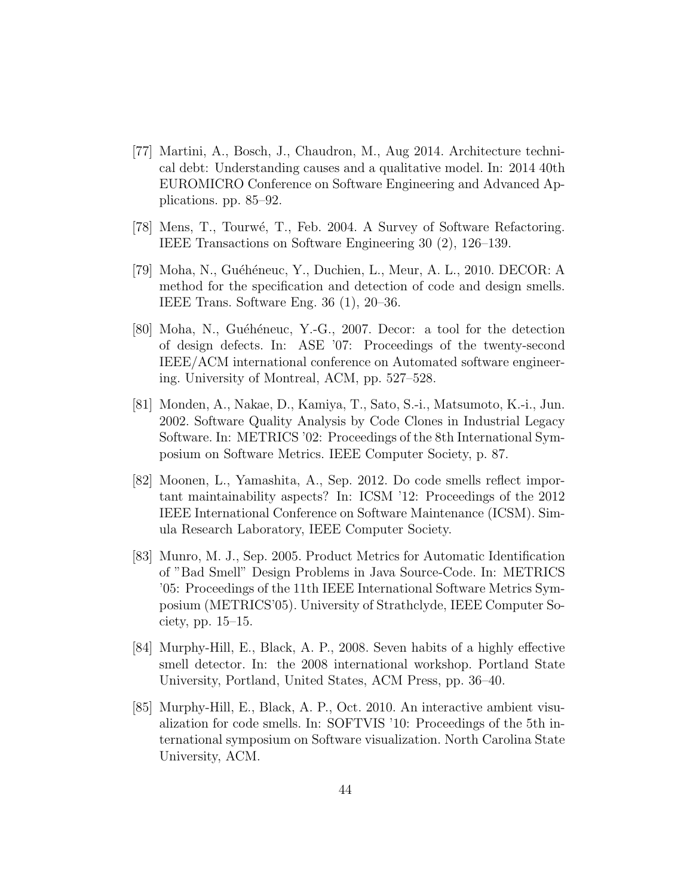- <span id="page-43-11"></span><span id="page-43-10"></span><span id="page-43-9"></span><span id="page-43-3"></span>[77] Martini, A., Bosch, J., Chaudron, M., Aug 2014. Architecture technical debt: Understanding causes and a qualitative model. In: 2014 40th EUROMICRO Conference on Software Engineering and Advanced Applications. pp. 85–92.
- <span id="page-43-0"></span>[78] Mens, T., Tourw´e, T., Feb. 2004. A Survey of Software Refactoring. IEEE Transactions on Software Engineering 30 (2), 126–139.
- <span id="page-43-1"></span>[79] Moha, N., Guéhéneuc, Y., Duchien, L., Meur, A. L., 2010. DECOR: A method for the specification and detection of code and design smells. IEEE Trans. Software Eng. 36 (1), 20–36.
- <span id="page-43-2"></span>[80] Moha, N., Guéhéneuc, Y.-G., 2007. Decor: a tool for the detection of design defects. In: ASE '07: Proceedings of the twenty-second IEEE/ACM international conference on Automated software engineering. University of Montreal, ACM, pp. 527–528.
- <span id="page-43-5"></span>[81] Monden, A., Nakae, D., Kamiya, T., Sato, S.-i., Matsumoto, K.-i., Jun. 2002. Software Quality Analysis by Code Clones in Industrial Legacy Software. In: METRICS '02: Proceedings of the 8th International Symposium on Software Metrics. IEEE Computer Society, p. 87.
- <span id="page-43-4"></span>[82] Moonen, L., Yamashita, A., Sep. 2012. Do code smells reflect important maintainability aspects? In: ICSM '12: Proceedings of the 2012 IEEE International Conference on Software Maintenance (ICSM). Simula Research Laboratory, IEEE Computer Society.
- <span id="page-43-6"></span>[83] Munro, M. J., Sep. 2005. Product Metrics for Automatic Identification of "Bad Smell" Design Problems in Java Source-Code. In: METRICS '05: Proceedings of the 11th IEEE International Software Metrics Symposium (METRICS'05). University of Strathclyde, IEEE Computer Society, pp. 15–15.
- <span id="page-43-8"></span>[84] Murphy-Hill, E., Black, A. P., 2008. Seven habits of a highly effective smell detector. In: the 2008 international workshop. Portland State University, Portland, United States, ACM Press, pp. 36–40.
- <span id="page-43-7"></span>[85] Murphy-Hill, E., Black, A. P., Oct. 2010. An interactive ambient visualization for code smells. In: SOFTVIS '10: Proceedings of the 5th international symposium on Software visualization. North Carolina State University, ACM.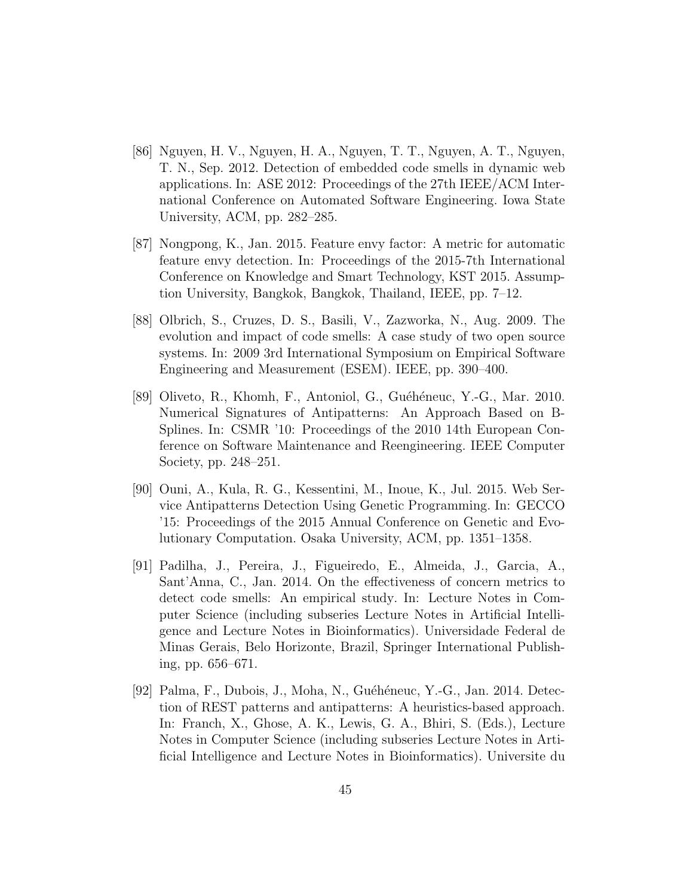- <span id="page-44-12"></span><span id="page-44-11"></span><span id="page-44-10"></span><span id="page-44-9"></span><span id="page-44-8"></span><span id="page-44-7"></span><span id="page-44-1"></span>[86] Nguyen, H. V., Nguyen, H. A., Nguyen, T. T., Nguyen, A. T., Nguyen, T. N., Sep. 2012. Detection of embedded code smells in dynamic web applications. In: ASE 2012: Proceedings of the 27th IEEE/ACM International Conference on Automated Software Engineering. Iowa State University, ACM, pp. 282–285.
- <span id="page-44-6"></span>[87] Nongpong, K., Jan. 2015. Feature envy factor: A metric for automatic feature envy detection. In: Proceedings of the 2015-7th International Conference on Knowledge and Smart Technology, KST 2015. Assumption University, Bangkok, Bangkok, Thailand, IEEE, pp. 7–12.
- <span id="page-44-2"></span>[88] Olbrich, S., Cruzes, D. S., Basili, V., Zazworka, N., Aug. 2009. The evolution and impact of code smells: A case study of two open source systems. In: 2009 3rd International Symposium on Empirical Software Engineering and Measurement (ESEM). IEEE, pp. 390–400.
- <span id="page-44-4"></span>[89] Oliveto, R., Khomh, F., Antoniol, G., Guéhéneuc, Y.-G., Mar. 2010. Numerical Signatures of Antipatterns: An Approach Based on B-Splines. In: CSMR '10: Proceedings of the 2010 14th European Conference on Software Maintenance and Reengineering. IEEE Computer Society, pp. 248–251.
- <span id="page-44-3"></span>[90] Ouni, A., Kula, R. G., Kessentini, M., Inoue, K., Jul. 2015. Web Service Antipatterns Detection Using Genetic Programming. In: GECCO '15: Proceedings of the 2015 Annual Conference on Genetic and Evolutionary Computation. Osaka University, ACM, pp. 1351–1358.
- <span id="page-44-5"></span>[91] Padilha, J., Pereira, J., Figueiredo, E., Almeida, J., Garcia, A., Sant'Anna, C., Jan. 2014. On the effectiveness of concern metrics to detect code smells: An empirical study. In: Lecture Notes in Computer Science (including subseries Lecture Notes in Artificial Intelligence and Lecture Notes in Bioinformatics). Universidade Federal de Minas Gerais, Belo Horizonte, Brazil, Springer International Publishing, pp. 656–671.
- <span id="page-44-0"></span>[92] Palma, F., Dubois, J., Moha, N., Guéhéneuc, Y.-G., Jan. 2014. Detection of REST patterns and antipatterns: A heuristics-based approach. In: Franch, X., Ghose, A. K., Lewis, G. A., Bhiri, S. (Eds.), Lecture Notes in Computer Science (including subseries Lecture Notes in Artificial Intelligence and Lecture Notes in Bioinformatics). Universite du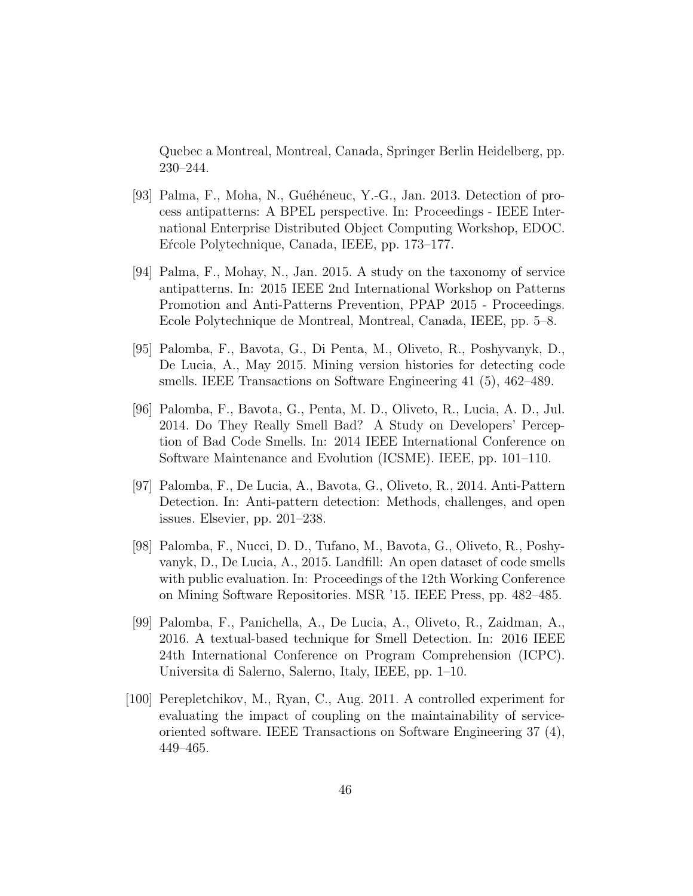<span id="page-45-9"></span><span id="page-45-8"></span>Quebec a Montreal, Montreal, Canada, Springer Berlin Heidelberg, pp. 230–244.

- <span id="page-45-1"></span>[93] Palma, F., Moha, N., Guéhéneuc, Y.-G., Jan. 2013. Detection of process antipatterns: A BPEL perspective. In: Proceedings - IEEE International Enterprise Distributed Object Computing Workshop, EDOC. Ercole Polytechnique, Canada, IEEE, pp. 173–177.
- <span id="page-45-0"></span>[94] Palma, F., Mohay, N., Jan. 2015. A study on the taxonomy of service antipatterns. In: 2015 IEEE 2nd International Workshop on Patterns Promotion and Anti-Patterns Prevention, PPAP 2015 - Proceedings. Ecole Polytechnique de Montreal, Montreal, Canada, IEEE, pp. 5–8.
- <span id="page-45-4"></span>[95] Palomba, F., Bavota, G., Di Penta, M., Oliveto, R., Poshyvanyk, D., De Lucia, A., May 2015. Mining version histories for detecting code smells. IEEE Transactions on Software Engineering 41 (5), 462–489.
- <span id="page-45-6"></span>[96] Palomba, F., Bavota, G., Penta, M. D., Oliveto, R., Lucia, A. D., Jul. 2014. Do They Really Smell Bad? A Study on Developers' Perception of Bad Code Smells. In: 2014 IEEE International Conference on Software Maintenance and Evolution (ICSME). IEEE, pp. 101–110.
- <span id="page-45-7"></span>[97] Palomba, F., De Lucia, A., Bavota, G., Oliveto, R., 2014. Anti-Pattern Detection. In: Anti-pattern detection: Methods, challenges, and open issues. Elsevier, pp. 201–238.
- <span id="page-45-2"></span>[98] Palomba, F., Nucci, D. D., Tufano, M., Bavota, G., Oliveto, R., Poshyvanyk, D., De Lucia, A., 2015. Landfill: An open dataset of code smells with public evaluation. In: Proceedings of the 12th Working Conference on Mining Software Repositories. MSR '15. IEEE Press, pp. 482–485.
- <span id="page-45-5"></span>[99] Palomba, F., Panichella, A., De Lucia, A., Oliveto, R., Zaidman, A., 2016. A textual-based technique for Smell Detection. In: 2016 IEEE 24th International Conference on Program Comprehension (ICPC). Universita di Salerno, Salerno, Italy, IEEE, pp. 1–10.
- <span id="page-45-3"></span>[100] Perepletchikov, M., Ryan, C., Aug. 2011. A controlled experiment for evaluating the impact of coupling on the maintainability of serviceoriented software. IEEE Transactions on Software Engineering 37 (4), 449–465.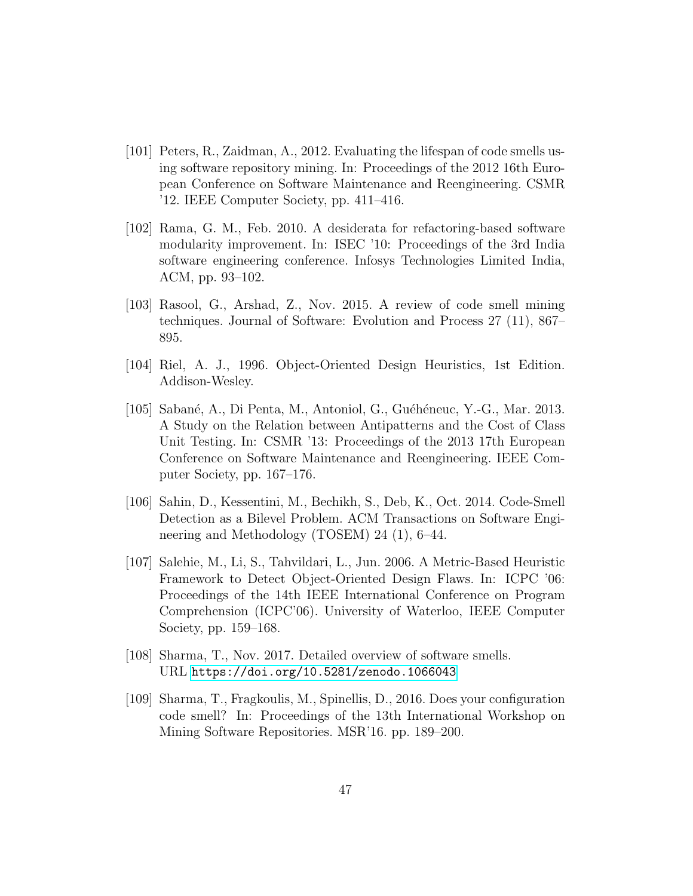- <span id="page-46-11"></span><span id="page-46-10"></span><span id="page-46-9"></span><span id="page-46-3"></span>[101] Peters, R., Zaidman, A., 2012. Evaluating the lifespan of code smells using software repository mining. In: Proceedings of the 2012 16th European Conference on Software Maintenance and Reengineering. CSMR '12. IEEE Computer Society, pp. 411–416.
- <span id="page-46-7"></span>[102] Rama, G. M., Feb. 2010. A desiderata for refactoring-based software modularity improvement. In: ISEC '10: Proceedings of the 3rd India software engineering conference. Infosys Technologies Limited India, ACM, pp. 93–102.
- <span id="page-46-1"></span>[103] Rasool, G., Arshad, Z., Nov. 2015. A review of code smell mining techniques. Journal of Software: Evolution and Process 27 (11), 867– 895.
- <span id="page-46-4"></span>[104] Riel, A. J., 1996. Object-Oriented Design Heuristics, 1st Edition. Addison-Wesley.
- <span id="page-46-5"></span>[105] Sabané, A., Di Penta, M., Antoniol, G., Guéhéneuc, Y.-G., Mar. 2013. A Study on the Relation between Antipatterns and the Cost of Class Unit Testing. In: CSMR '13: Proceedings of the 2013 17th European Conference on Software Maintenance and Reengineering. IEEE Computer Society, pp. 167–176.
- <span id="page-46-8"></span>[106] Sahin, D., Kessentini, M., Bechikh, S., Deb, K., Oct. 2014. Code-Smell Detection as a Bilevel Problem. ACM Transactions on Software Engineering and Methodology (TOSEM) 24 (1), 6–44.
- <span id="page-46-6"></span>[107] Salehie, M., Li, S., Tahvildari, L., Jun. 2006. A Metric-Based Heuristic Framework to Detect Object-Oriented Design Flaws. In: ICPC '06: Proceedings of the 14th IEEE International Conference on Program Comprehension (ICPC'06). University of Waterloo, IEEE Computer Society, pp. 159–168.
- <span id="page-46-2"></span>[108] Sharma, T., Nov. 2017. Detailed overview of software smells. URL <https://doi.org/10.5281/zenodo.1066043>
- <span id="page-46-0"></span>[109] Sharma, T., Fragkoulis, M., Spinellis, D., 2016. Does your configuration code smell? In: Proceedings of the 13th International Workshop on Mining Software Repositories. MSR'16. pp. 189–200.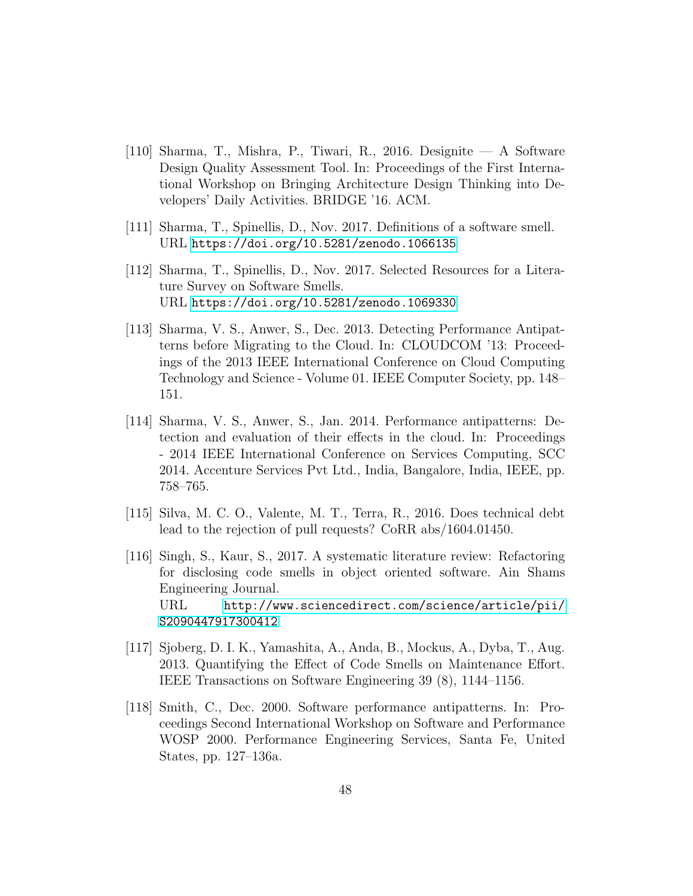- <span id="page-47-10"></span><span id="page-47-9"></span><span id="page-47-8"></span>[110] Sharma, T., Mishra, P., Tiwari, R., 2016. Designite — A Software Design Quality Assessment Tool. In: Proceedings of the First International Workshop on Bringing Architecture Design Thinking into Developers' Daily Activities. BRIDGE '16. ACM.
- <span id="page-47-2"></span>[111] Sharma, T., Spinellis, D., Nov. 2017. Definitions of a software smell. URL <https://doi.org/10.5281/zenodo.1066135>
- <span id="page-47-1"></span>[112] Sharma, T., Spinellis, D., Nov. 2017. Selected Resources for a Literature Survey on Software Smells. URL <https://doi.org/10.5281/zenodo.1069330>
- <span id="page-47-7"></span>[113] Sharma, V. S., Anwer, S., Dec. 2013. Detecting Performance Antipatterns before Migrating to the Cloud. In: CLOUDCOM '13: Proceedings of the 2013 IEEE International Conference on Cloud Computing Technology and Science - Volume 01. IEEE Computer Society, pp. 148– 151.
- <span id="page-47-4"></span>[114] Sharma, V. S., Anwer, S., Jan. 2014. Performance antipatterns: Detection and evaluation of their effects in the cloud. In: Proceedings - 2014 IEEE International Conference on Services Computing, SCC 2014. Accenture Services Pvt Ltd., India, Bangalore, India, IEEE, pp. 758–765.
- <span id="page-47-5"></span>[115] Silva, M. C. O., Valente, M. T., Terra, R., 2016. Does technical debt lead to the rejection of pull requests? CoRR abs/1604.01450.
- <span id="page-47-0"></span>[116] Singh, S., Kaur, S., 2017. A systematic literature review: Refactoring for disclosing code smells in object oriented software. Ain Shams Engineering Journal. URL [http://www.sciencedirect.com/science/article/pii/](http://www.sciencedirect.com/science/article/pii/S2090447917300412) [S2090447917300412](http://www.sciencedirect.com/science/article/pii/S2090447917300412)
- <span id="page-47-6"></span>[117] Sjoberg, D. I. K., Yamashita, A., Anda, B., Mockus, A., Dyba, T., Aug. 2013. Quantifying the Effect of Code Smells on Maintenance Effort. IEEE Transactions on Software Engineering 39 (8), 1144–1156.
- <span id="page-47-3"></span>[118] Smith, C., Dec. 2000. Software performance antipatterns. In: Proceedings Second International Workshop on Software and Performance WOSP 2000. Performance Engineering Services, Santa Fe, United States, pp. 127–136a.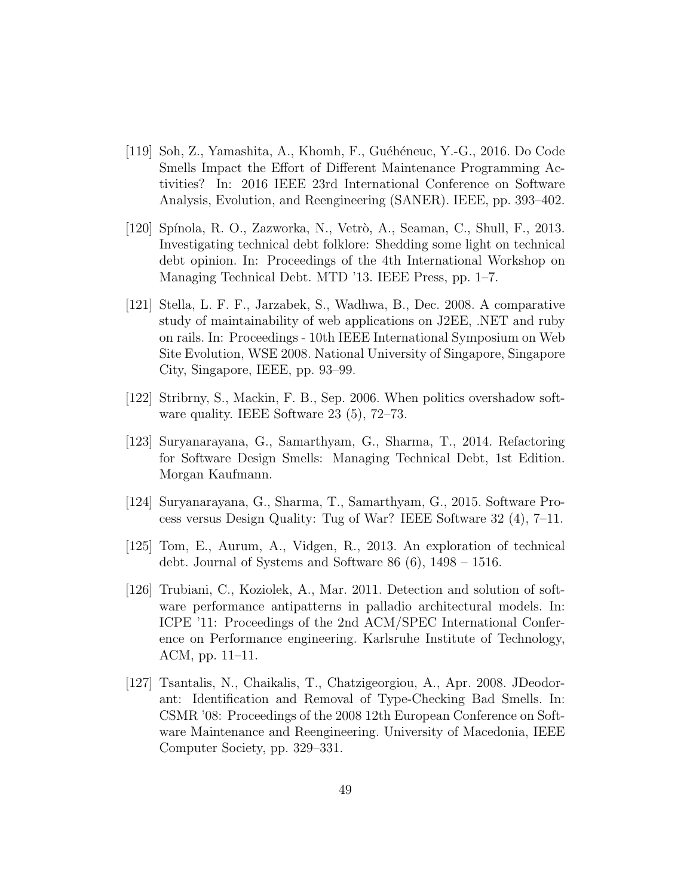- <span id="page-48-10"></span><span id="page-48-9"></span><span id="page-48-5"></span>[119] Soh, Z., Yamashita, A., Khomh, F., Gu´eh´eneuc, Y.-G., 2016. Do Code Smells Impact the Effort of Different Maintenance Programming Activities? In: 2016 IEEE 23rd International Conference on Software Analysis, Evolution, and Reengineering (SANER). IEEE, pp. 393–402.
- <span id="page-48-6"></span>[120] Spínola, R. O., Zazworka, N., Vetrò, A., Seaman, C., Shull, F., 2013. Investigating technical debt folklore: Shedding some light on technical debt opinion. In: Proceedings of the 4th International Workshop on Managing Technical Debt. MTD '13. IEEE Press, pp. 1–7.
- <span id="page-48-2"></span>[121] Stella, L. F. F., Jarzabek, S., Wadhwa, B., Dec. 2008. A comparative study of maintainability of web applications on J2EE, .NET and ruby on rails. In: Proceedings - 10th IEEE International Symposium on Web Site Evolution, WSE 2008. National University of Singapore, Singapore City, Singapore, IEEE, pp. 93–99.
- <span id="page-48-4"></span>[122] Stribrny, S., Mackin, F. B., Sep. 2006. When politics overshadow software quality. IEEE Software 23 (5), 72–73.
- <span id="page-48-0"></span>[123] Suryanarayana, G., Samarthyam, G., Sharma, T., 2014. Refactoring for Software Design Smells: Managing Technical Debt, 1st Edition. Morgan Kaufmann.
- <span id="page-48-3"></span>[124] Suryanarayana, G., Sharma, T., Samarthyam, G., 2015. Software Process versus Design Quality: Tug of War? IEEE Software 32 (4), 7–11.
- <span id="page-48-1"></span>[125] Tom, E., Aurum, A., Vidgen, R., 2013. An exploration of technical debt. Journal of Systems and Software 86 (6), 1498 – 1516.
- <span id="page-48-8"></span>[126] Trubiani, C., Koziolek, A., Mar. 2011. Detection and solution of software performance antipatterns in palladio architectural models. In: ICPE '11: Proceedings of the 2nd ACM/SPEC International Conference on Performance engineering. Karlsruhe Institute of Technology, ACM, pp. 11–11.
- <span id="page-48-7"></span>[127] Tsantalis, N., Chaikalis, T., Chatzigeorgiou, A., Apr. 2008. JDeodorant: Identification and Removal of Type-Checking Bad Smells. In: CSMR '08: Proceedings of the 2008 12th European Conference on Software Maintenance and Reengineering. University of Macedonia, IEEE Computer Society, pp. 329–331.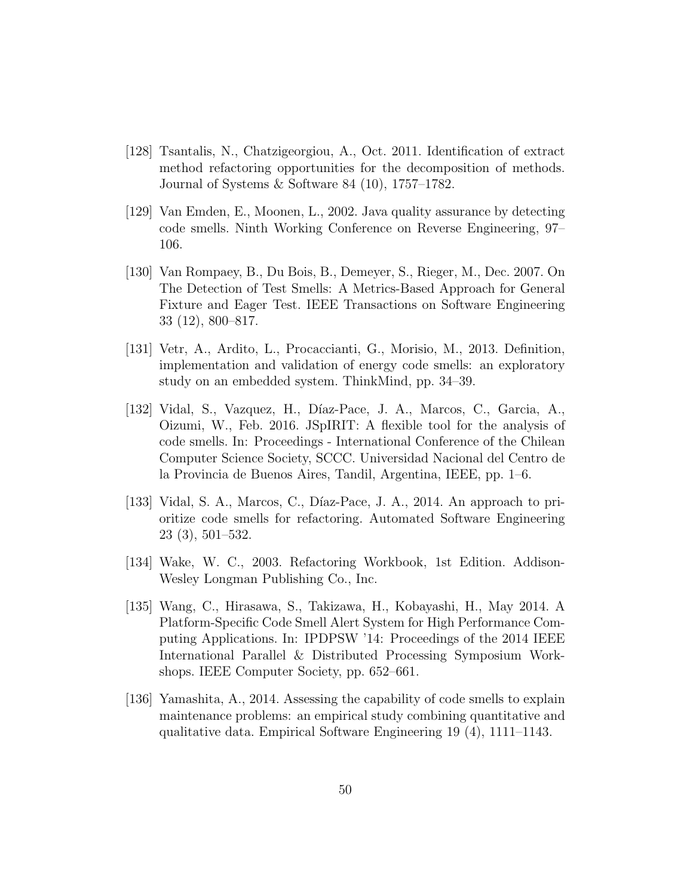- <span id="page-49-12"></span><span id="page-49-11"></span><span id="page-49-10"></span><span id="page-49-9"></span><span id="page-49-8"></span>[128] Tsantalis, N., Chatzigeorgiou, A., Oct. 2011. Identification of extract method refactoring opportunities for the decomposition of methods. Journal of Systems & Software 84 (10), 1757–1782.
- <span id="page-49-1"></span>[129] Van Emden, E., Moonen, L., 2002. Java quality assurance by detecting code smells. Ninth Working Conference on Reverse Engineering, 97– 106.
- <span id="page-49-6"></span>[130] Van Rompaey, B., Du Bois, B., Demeyer, S., Rieger, M., Dec. 2007. On The Detection of Test Smells: A Metrics-Based Approach for General Fixture and Eager Test. IEEE Transactions on Software Engineering 33 (12), 800–817.
- <span id="page-49-3"></span>[131] Vetr, A., Ardito, L., Procaccianti, G., Morisio, M., 2013. Definition, implementation and validation of energy code smells: an exploratory study on an embedded system. ThinkMind, pp. 34–39.
- <span id="page-49-7"></span>[132] Vidal, S., Vazquez, H., D´ıaz-Pace, J. A., Marcos, C., Garcia, A., Oizumi, W., Feb. 2016. JSpIRIT: A flexible tool for the analysis of code smells. In: Proceedings - International Conference of the Chilean Computer Science Society, SCCC. Universidad Nacional del Centro de la Provincia de Buenos Aires, Tandil, Argentina, IEEE, pp. 1–6.
- <span id="page-49-4"></span>[133] Vidal, S. A., Marcos, C., Díaz-Pace, J. A., 2014. An approach to prioritize code smells for refactoring. Automated Software Engineering 23 (3), 501–532.
- <span id="page-49-5"></span>[134] Wake, W. C., 2003. Refactoring Workbook, 1st Edition. Addison-Wesley Longman Publishing Co., Inc.
- <span id="page-49-2"></span>[135] Wang, C., Hirasawa, S., Takizawa, H., Kobayashi, H., May 2014. A Platform-Specific Code Smell Alert System for High Performance Computing Applications. In: IPDPSW '14: Proceedings of the 2014 IEEE International Parallel & Distributed Processing Symposium Workshops. IEEE Computer Society, pp. 652–661.
- <span id="page-49-0"></span>[136] Yamashita, A., 2014. Assessing the capability of code smells to explain maintenance problems: an empirical study combining quantitative and qualitative data. Empirical Software Engineering 19 (4), 1111–1143.